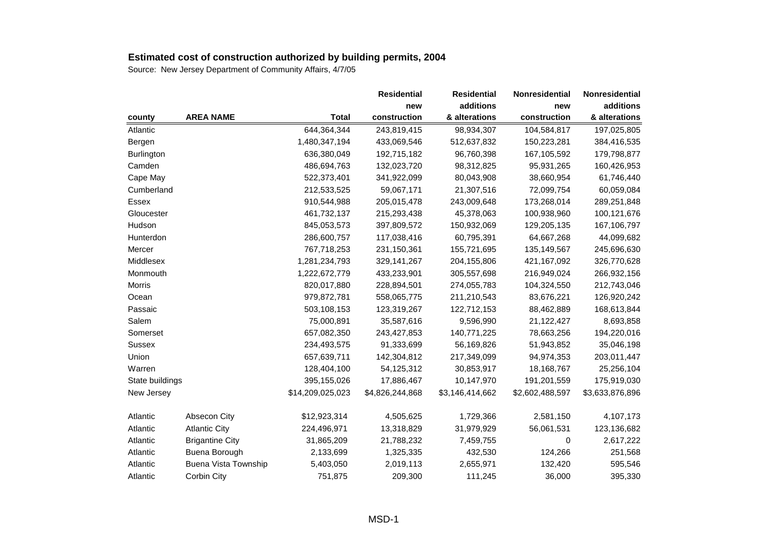|                 |                             |                  | <b>Residential</b> | <b>Residential</b> | Nonresidential  | Nonresidential  |
|-----------------|-----------------------------|------------------|--------------------|--------------------|-----------------|-----------------|
|                 |                             |                  | new                | additions          | new             | additions       |
| county          | <b>AREA NAME</b>            | <b>Total</b>     | construction       | & alterations      | construction    | & alterations   |
| Atlantic        |                             | 644,364,344      | 243,819,415        | 98,934,307         | 104,584,817     | 197,025,805     |
| Bergen          |                             | 1,480,347,194    | 433,069,546        | 512,637,832        | 150,223,281     | 384,416,535     |
| Burlington      |                             | 636,380,049      | 192,715,182        | 96,760,398         | 167,105,592     | 179,798,877     |
| Camden          |                             | 486,694,763      | 132,023,720        | 98,312,825         | 95,931,265      | 160,426,953     |
| Cape May        |                             | 522,373,401      | 341,922,099        | 80,043,908         | 38,660,954      | 61,746,440      |
| Cumberland      |                             | 212,533,525      | 59,067,171         | 21,307,516         | 72,099,754      | 60,059,084      |
| Essex           |                             | 910,544,988      | 205,015,478        | 243,009,648        | 173,268,014     | 289,251,848     |
| Gloucester      |                             | 461,732,137      | 215,293,438        | 45,378,063         | 100,938,960     | 100,121,676     |
| Hudson          |                             | 845,053,573      | 397,809,572        | 150,932,069        | 129,205,135     | 167,106,797     |
| Hunterdon       |                             | 286,600,757      | 117,038,416        | 60,795,391         | 64,667,268      | 44,099,682      |
| Mercer          |                             | 767,718,253      | 231,150,361        | 155,721,695        | 135,149,567     | 245,696,630     |
| Middlesex       |                             | 1,281,234,793    | 329,141,267        | 204,155,806        | 421,167,092     | 326,770,628     |
| Monmouth        |                             | 1,222,672,779    | 433,233,901        | 305,557,698        | 216,949,024     | 266,932,156     |
| Morris          |                             | 820,017,880      | 228,894,501        | 274,055,783        | 104,324,550     | 212,743,046     |
| Ocean           |                             | 979,872,781      | 558,065,775        | 211,210,543        | 83,676,221      | 126,920,242     |
| Passaic         |                             | 503,108,153      | 123,319,267        | 122,712,153        | 88,462,889      | 168,613,844     |
| Salem           |                             | 75,000,891       | 35,587,616         | 9,596,990          | 21,122,427      | 8,693,858       |
| Somerset        |                             | 657,082,350      | 243,427,853        | 140,771,225        | 78,663,256      | 194,220,016     |
| Sussex          |                             | 234,493,575      | 91,333,699         | 56,169,826         | 51,943,852      | 35,046,198      |
| Union           |                             | 657,639,711      | 142,304,812        | 217,349,099        | 94,974,353      | 203,011,447     |
| Warren          |                             | 128,404,100      | 54,125,312         | 30,853,917         | 18,168,767      | 25,256,104      |
| State buildings |                             | 395,155,026      | 17,886,467         | 10,147,970         | 191,201,559     | 175,919,030     |
| New Jersey      |                             | \$14,209,025,023 | \$4,826,244,868    | \$3,146,414,662    | \$2,602,488,597 | \$3,633,876,896 |
| Atlantic        | <b>Absecon City</b>         | \$12,923,314     | 4,505,625          | 1,729,366          | 2,581,150       | 4,107,173       |
| Atlantic        | <b>Atlantic City</b>        | 224,496,971      | 13,318,829         | 31,979,929         | 56,061,531      | 123,136,682     |
| Atlantic        | <b>Brigantine City</b>      | 31,865,209       | 21,788,232         | 7,459,755          | 0               | 2,617,222       |
| Atlantic        | Buena Borough               | 2,133,699        | 1,325,335          | 432,530            | 124,266         | 251,568         |
| Atlantic        | <b>Buena Vista Township</b> | 5,403,050        | 2,019,113          | 2,655,971          | 132,420         | 595,546         |
| Atlantic        | Corbin City                 | 751,875          | 209,300            | 111,245            | 36,000          | 395,330         |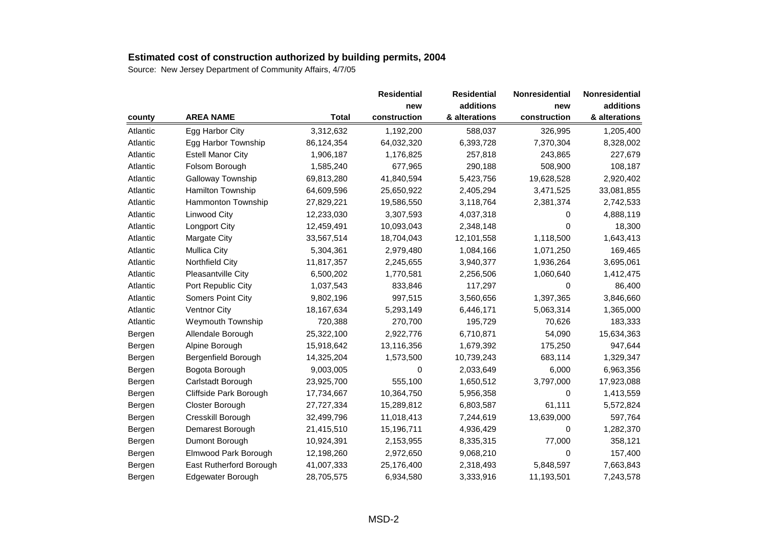|          |                          |              | <b>Residential</b> | <b>Residential</b> | Nonresidential | Nonresidential |
|----------|--------------------------|--------------|--------------------|--------------------|----------------|----------------|
|          |                          |              | new                | additions          | new            | additions      |
| county   | <b>AREA NAME</b>         | <b>Total</b> | construction       | & alterations      | construction   | & alterations  |
| Atlantic | Egg Harbor City          | 3,312,632    | 1,192,200          | 588,037            | 326,995        | 1,205,400      |
| Atlantic | Egg Harbor Township      | 86,124,354   | 64,032,320         | 6,393,728          | 7,370,304      | 8,328,002      |
| Atlantic | <b>Estell Manor City</b> | 1,906,187    | 1,176,825          | 257,818            | 243,865        | 227,679        |
| Atlantic | Folsom Borough           | 1,585,240    | 677,965            | 290,188            | 508,900        | 108,187        |
| Atlantic | Galloway Township        | 69,813,280   | 41,840,594         | 5,423,756          | 19,628,528     | 2,920,402      |
| Atlantic | Hamilton Township        | 64,609,596   | 25,650,922         | 2,405,294          | 3,471,525      | 33,081,855     |
| Atlantic | Hammonton Township       | 27,829,221   | 19,586,550         | 3,118,764          | 2,381,374      | 2,742,533      |
| Atlantic | Linwood City             | 12,233,030   | 3,307,593          | 4,037,318          | 0              | 4,888,119      |
| Atlantic | Longport City            | 12,459,491   | 10,093,043         | 2,348,148          | 0              | 18,300         |
| Atlantic | Margate City             | 33,567,514   | 18,704,043         | 12,101,558         | 1,118,500      | 1,643,413      |
| Atlantic | <b>Mullica City</b>      | 5,304,361    | 2,979,480          | 1,084,166          | 1,071,250      | 169,465        |
| Atlantic | Northfield City          | 11,817,357   | 2,245,655          | 3,940,377          | 1,936,264      | 3,695,061      |
| Atlantic | Pleasantville City       | 6,500,202    | 1,770,581          | 2,256,506          | 1,060,640      | 1,412,475      |
| Atlantic | Port Republic City       | 1,037,543    | 833,846            | 117,297            | 0              | 86,400         |
| Atlantic | <b>Somers Point City</b> | 9,802,196    | 997,515            | 3,560,656          | 1,397,365      | 3,846,660      |
| Atlantic | Ventnor City             | 18,167,634   | 5,293,149          | 6,446,171          | 5,063,314      | 1,365,000      |
| Atlantic | Weymouth Township        | 720,388      | 270,700            | 195,729            | 70,626         | 183,333        |
| Bergen   | Allendale Borough        | 25,322,100   | 2,922,776          | 6,710,871          | 54,090         | 15,634,363     |
| Bergen   | Alpine Borough           | 15,918,642   | 13,116,356         | 1,679,392          | 175,250        | 947,644        |
| Bergen   | Bergenfield Borough      | 14,325,204   | 1,573,500          | 10,739,243         | 683,114        | 1,329,347      |
| Bergen   | Bogota Borough           | 9,003,005    | 0                  | 2,033,649          | 6,000          | 6,963,356      |
| Bergen   | Carlstadt Borough        | 23,925,700   | 555,100            | 1,650,512          | 3,797,000      | 17,923,088     |
| Bergen   | Cliffside Park Borough   | 17,734,667   | 10,364,750         | 5,956,358          | 0              | 1,413,559      |
| Bergen   | Closter Borough          | 27,727,334   | 15,289,812         | 6,803,587          | 61,111         | 5,572,824      |
| Bergen   | Cresskill Borough        | 32,499,796   | 11,018,413         | 7,244,619          | 13,639,000     | 597,764        |
| Bergen   | Demarest Borough         | 21,415,510   | 15,196,711         | 4,936,429          | 0              | 1,282,370      |
| Bergen   | Dumont Borough           | 10,924,391   | 2,153,955          | 8,335,315          | 77,000         | 358,121        |
| Bergen   | Elmwood Park Borough     | 12,198,260   | 2,972,650          | 9,068,210          | 0              | 157,400        |
| Bergen   | East Rutherford Borough  | 41,007,333   | 25,176,400         | 2,318,493          | 5,848,597      | 7,663,843      |
| Bergen   | Edgewater Borough        | 28,705,575   | 6,934,580          | 3,333,916          | 11,193,501     | 7,243,578      |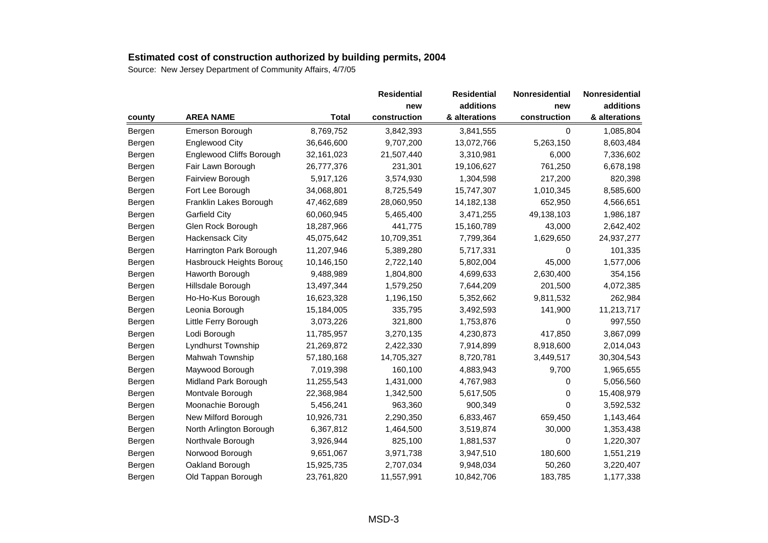|        |                          |              | <b>Residential</b> | <b>Residential</b> | Nonresidential | Nonresidential |
|--------|--------------------------|--------------|--------------------|--------------------|----------------|----------------|
|        |                          |              | new                | additions          | new            | additions      |
| county | <b>AREA NAME</b>         | <b>Total</b> | construction       | & alterations      | construction   | & alterations  |
| Bergen | Emerson Borough          | 8,769,752    | 3,842,393          | 3,841,555          | 0              | 1,085,804      |
| Bergen | <b>Englewood City</b>    | 36,646,600   | 9,707,200          | 13,072,766         | 5,263,150      | 8,603,484      |
| Bergen | Englewood Cliffs Borough | 32,161,023   | 21,507,440         | 3,310,981          | 6,000          | 7,336,602      |
| Bergen | Fair Lawn Borough        | 26,777,376   | 231,301            | 19,106,627         | 761,250        | 6,678,198      |
| Bergen | Fairview Borough         | 5,917,126    | 3,574,930          | 1,304,598          | 217,200        | 820,398        |
| Bergen | Fort Lee Borough         | 34,068,801   | 8,725,549          | 15,747,307         | 1,010,345      | 8,585,600      |
| Bergen | Franklin Lakes Borough   | 47,462,689   | 28,060,950         | 14,182,138         | 652,950        | 4,566,651      |
| Bergen | <b>Garfield City</b>     | 60,060,945   | 5,465,400          | 3,471,255          | 49,138,103     | 1,986,187      |
| Bergen | Glen Rock Borough        | 18,287,966   | 441,775            | 15,160,789         | 43,000         | 2,642,402      |
| Bergen | <b>Hackensack City</b>   | 45,075,642   | 10,709,351         | 7,799,364          | 1,629,650      | 24,937,277     |
| Bergen | Harrington Park Borough  | 11,207,946   | 5,389,280          | 5,717,331          | 0              | 101,335        |
| Bergen | Hasbrouck Heights Boroug | 10,146,150   | 2,722,140          | 5,802,004          | 45,000         | 1,577,006      |
| Bergen | Haworth Borough          | 9,488,989    | 1,804,800          | 4,699,633          | 2,630,400      | 354,156        |
| Bergen | Hillsdale Borough        | 13,497,344   | 1,579,250          | 7,644,209          | 201,500        | 4,072,385      |
| Bergen | Ho-Ho-Kus Borough        | 16,623,328   | 1,196,150          | 5,352,662          | 9,811,532      | 262,984        |
| Bergen | Leonia Borough           | 15,184,005   | 335,795            | 3,492,593          | 141,900        | 11,213,717     |
| Bergen | Little Ferry Borough     | 3,073,226    | 321,800            | 1,753,876          | 0              | 997,550        |
| Bergen | Lodi Borough             | 11,785,957   | 3,270,135          | 4,230,873          | 417,850        | 3,867,099      |
| Bergen | Lyndhurst Township       | 21,269,872   | 2,422,330          | 7,914,899          | 8,918,600      | 2,014,043      |
| Bergen | Mahwah Township          | 57,180,168   | 14,705,327         | 8,720,781          | 3,449,517      | 30,304,543     |
| Bergen | Maywood Borough          | 7,019,398    | 160,100            | 4,883,943          | 9,700          | 1,965,655      |
| Bergen | Midland Park Borough     | 11,255,543   | 1,431,000          | 4,767,983          | 0              | 5,056,560      |
| Bergen | Montvale Borough         | 22,368,984   | 1,342,500          | 5,617,505          | 0              | 15,408,979     |
| Bergen | Moonachie Borough        | 5,456,241    | 963,360            | 900,349            | 0              | 3,592,532      |
| Bergen | New Milford Borough      | 10,926,731   | 2,290,350          | 6,833,467          | 659,450        | 1,143,464      |
| Bergen | North Arlington Borough  | 6,367,812    | 1,464,500          | 3,519,874          | 30,000         | 1,353,438      |
| Bergen | Northvale Borough        | 3,926,944    | 825,100            | 1,881,537          | 0              | 1,220,307      |
| Bergen | Norwood Borough          | 9,651,067    | 3,971,738          | 3,947,510          | 180,600        | 1,551,219      |
| Bergen | Oakland Borough          | 15,925,735   | 2,707,034          | 9,948,034          | 50,260         | 3,220,407      |
| Bergen | Old Tappan Borough       | 23,761,820   | 11,557,991         | 10,842,706         | 183,785        | 1,177,338      |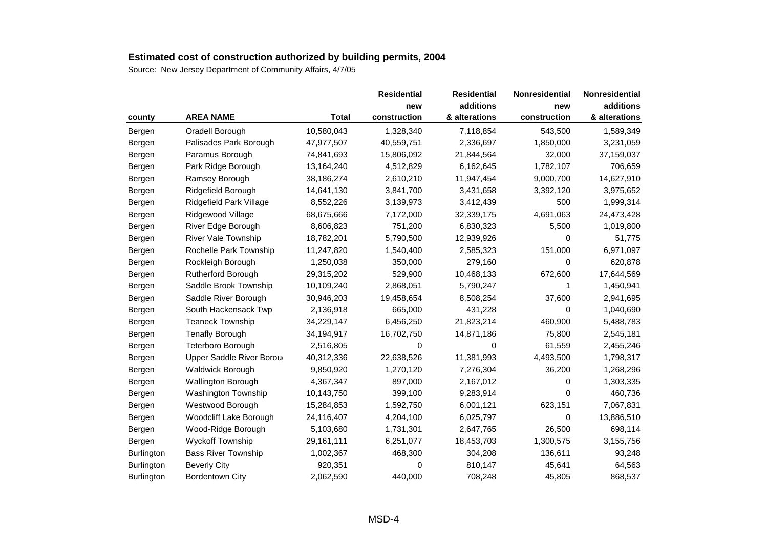|                   |                            |              | <b>Residential</b> | <b>Residential</b> | Nonresidential | Nonresidential |
|-------------------|----------------------------|--------------|--------------------|--------------------|----------------|----------------|
|                   |                            |              | new                | additions          | new            | additions      |
| county            | <b>AREA NAME</b>           | <b>Total</b> | construction       | & alterations      | construction   | & alterations  |
| Bergen            | Oradell Borough            | 10,580,043   | 1,328,340          | 7,118,854          | 543,500        | 1,589,349      |
| Bergen            | Palisades Park Borough     | 47,977,507   | 40,559,751         | 2,336,697          | 1,850,000      | 3,231,059      |
| Bergen            | Paramus Borough            | 74,841,693   | 15,806,092         | 21,844,564         | 32,000         | 37,159,037     |
| Bergen            | Park Ridge Borough         | 13,164,240   | 4,512,829          | 6,162,645          | 1,782,107      | 706,659        |
| Bergen            | Ramsey Borough             | 38,186,274   | 2,610,210          | 11,947,454         | 9,000,700      | 14,627,910     |
| Bergen            | Ridgefield Borough         | 14,641,130   | 3,841,700          | 3,431,658          | 3,392,120      | 3,975,652      |
| Bergen            | Ridgefield Park Village    | 8,552,226    | 3,139,973          | 3,412,439          | 500            | 1,999,314      |
| Bergen            | Ridgewood Village          | 68,675,666   | 7,172,000          | 32,339,175         | 4,691,063      | 24,473,428     |
| Bergen            | River Edge Borough         | 8,606,823    | 751,200            | 6,830,323          | 5,500          | 1,019,800      |
| Bergen            | <b>River Vale Township</b> | 18,782,201   | 5,790,500          | 12,939,926         | 0              | 51,775         |
| Bergen            | Rochelle Park Township     | 11,247,820   | 1,540,400          | 2,585,323          | 151,000        | 6,971,097      |
| Bergen            | Rockleigh Borough          | 1,250,038    | 350,000            | 279,160            | 0              | 620,878        |
| Bergen            | Rutherford Borough         | 29,315,202   | 529,900            | 10,468,133         | 672,600        | 17,644,569     |
| Bergen            | Saddle Brook Township      | 10,109,240   | 2,868,051          | 5,790,247          |                | 1,450,941      |
| Bergen            | Saddle River Borough       | 30,946,203   | 19,458,654         | 8,508,254          | 37,600         | 2,941,695      |
| Bergen            | South Hackensack Twp       | 2,136,918    | 665,000            | 431,228            | 0              | 1,040,690      |
| Bergen            | <b>Teaneck Township</b>    | 34,229,147   | 6,456,250          | 21,823,214         | 460,900        | 5,488,783      |
| Bergen            | <b>Tenafly Borough</b>     | 34,194,917   | 16,702,750         | 14,871,186         | 75,800         | 2,545,181      |
| Bergen            | Teterboro Borough          | 2,516,805    | 0                  | 0                  | 61,559         | 2,455,246      |
| Bergen            | Upper Saddle River Borou   | 40,312,336   | 22,638,526         | 11,381,993         | 4,493,500      | 1,798,317      |
| Bergen            | Waldwick Borough           | 9,850,920    | 1,270,120          | 7,276,304          | 36,200         | 1,268,296      |
| Bergen            | Wallington Borough         | 4,367,347    | 897,000            | 2,167,012          | 0              | 1,303,335      |
| Bergen            | <b>Washington Township</b> | 10,143,750   | 399,100            | 9,283,914          | 0              | 460,736        |
| Bergen            | Westwood Borough           | 15,284,853   | 1,592,750          | 6,001,121          | 623,151        | 7,067,831      |
| Bergen            | Woodcliff Lake Borough     | 24,116,407   | 4,204,100          | 6,025,797          | 0              | 13,886,510     |
| Bergen            | Wood-Ridge Borough         | 5,103,680    | 1,731,301          | 2,647,765          | 26,500         | 698,114        |
| Bergen            | <b>Wyckoff Township</b>    | 29,161,111   | 6,251,077          | 18,453,703         | 1,300,575      | 3,155,756      |
| Burlington        | <b>Bass River Township</b> | 1,002,367    | 468,300            | 304,208            | 136,611        | 93,248         |
| <b>Burlington</b> | <b>Beverly City</b>        | 920,351      | 0                  | 810,147            | 45,641         | 64,563         |
| Burlington        | <b>Bordentown City</b>     | 2,062,590    | 440,000            | 708,248            | 45,805         | 868,537        |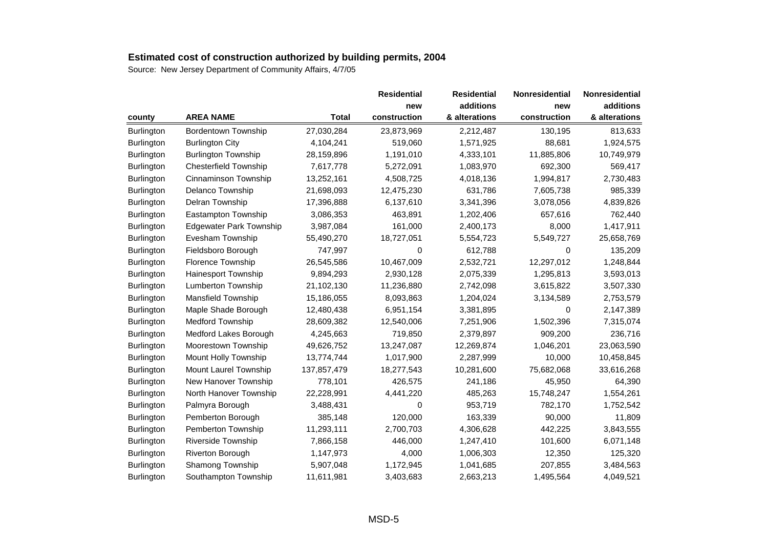|                   |                                |             | <b>Residential</b> | <b>Residential</b> | <b>Nonresidential</b> | Nonresidential |
|-------------------|--------------------------------|-------------|--------------------|--------------------|-----------------------|----------------|
|                   |                                |             | new                | additions          | new                   | additions      |
| county            | <b>AREA NAME</b>               | Total       | construction       | & alterations      | construction          | & alterations  |
| Burlington        | <b>Bordentown Township</b>     | 27,030,284  | 23,873,969         | 2,212,487          | 130,195               | 813,633        |
| <b>Burlington</b> | <b>Burlington City</b>         | 4,104,241   | 519,060            | 1,571,925          | 88,681                | 1,924,575      |
| <b>Burlington</b> | <b>Burlington Township</b>     | 28,159,896  | 1,191,010          | 4,333,101          | 11,885,806            | 10,749,979     |
| <b>Burlington</b> | <b>Chesterfield Township</b>   | 7,617,778   | 5,272,091          | 1,083,970          | 692,300               | 569,417        |
| Burlington        | Cinnaminson Township           | 13,252,161  | 4,508,725          | 4,018,136          | 1,994,817             | 2,730,483      |
| <b>Burlington</b> | Delanco Township               | 21,698,093  | 12,475,230         | 631,786            | 7,605,738             | 985,339        |
| Burlington        | Delran Township                | 17,396,888  | 6,137,610          | 3,341,396          | 3,078,056             | 4,839,826      |
| Burlington        | Eastampton Township            | 3,086,353   | 463,891            | 1,202,406          | 657,616               | 762,440        |
| <b>Burlington</b> | <b>Edgewater Park Township</b> | 3,987,084   | 161,000            | 2,400,173          | 8,000                 | 1,417,911      |
| <b>Burlington</b> | Evesham Township               | 55,490,270  | 18,727,051         | 5,554,723          | 5,549,727             | 25,658,769     |
| Burlington        | Fieldsboro Borough             | 747,997     | 0                  | 612,788            | 0                     | 135,209        |
| Burlington        | Florence Township              | 26,545,586  | 10,467,009         | 2,532,721          | 12,297,012            | 1,248,844      |
| <b>Burlington</b> | Hainesport Township            | 9,894,293   | 2,930,128          | 2,075,339          | 1,295,813             | 3,593,013      |
| <b>Burlington</b> | Lumberton Township             | 21,102,130  | 11,236,880         | 2,742,098          | 3,615,822             | 3,507,330      |
| <b>Burlington</b> | <b>Mansfield Township</b>      | 15,186,055  | 8,093,863          | 1,204,024          | 3,134,589             | 2,753,579      |
| Burlington        | Maple Shade Borough            | 12,480,438  | 6,951,154          | 3,381,895          | 0                     | 2,147,389      |
| <b>Burlington</b> | <b>Medford Township</b>        | 28,609,382  | 12,540,006         | 7,251,906          | 1,502,396             | 7,315,074      |
| Burlington        | Medford Lakes Borough          | 4,245,663   | 719,850            | 2,379,897          | 909,200               | 236,716        |
| Burlington        | Moorestown Township            | 49,626,752  | 13,247,087         | 12,269,874         | 1,046,201             | 23,063,590     |
| <b>Burlington</b> | Mount Holly Township           | 13,774,744  | 1,017,900          | 2,287,999          | 10,000                | 10,458,845     |
| Burlington        | Mount Laurel Township          | 137,857,479 | 18,277,543         | 10,281,600         | 75,682,068            | 33,616,268     |
| <b>Burlington</b> | New Hanover Township           | 778,101     | 426,575            | 241,186            | 45,950                | 64,390         |
| Burlington        | North Hanover Township         | 22,228,991  | 4,441,220          | 485,263            | 15,748,247            | 1,554,261      |
| Burlington        | Palmyra Borough                | 3,488,431   | 0                  | 953,719            | 782,170               | 1,752,542      |
| Burlington        | Pemberton Borough              | 385,148     | 120,000            | 163,339            | 90,000                | 11,809         |
| Burlington        | Pemberton Township             | 11,293,111  | 2,700,703          | 4,306,628          | 442,225               | 3,843,555      |
| Burlington        | Riverside Township             | 7,866,158   | 446,000            | 1,247,410          | 101,600               | 6,071,148      |
| <b>Burlington</b> | <b>Riverton Borough</b>        | 1,147,973   | 4,000              | 1,006,303          | 12,350                | 125,320        |
| Burlington        | Shamong Township               | 5,907,048   | 1,172,945          | 1,041,685          | 207,855               | 3,484,563      |
| Burlington        | Southampton Township           | 11,611,981  | 3,403,683          | 2,663,213          | 1,495,564             | 4,049,521      |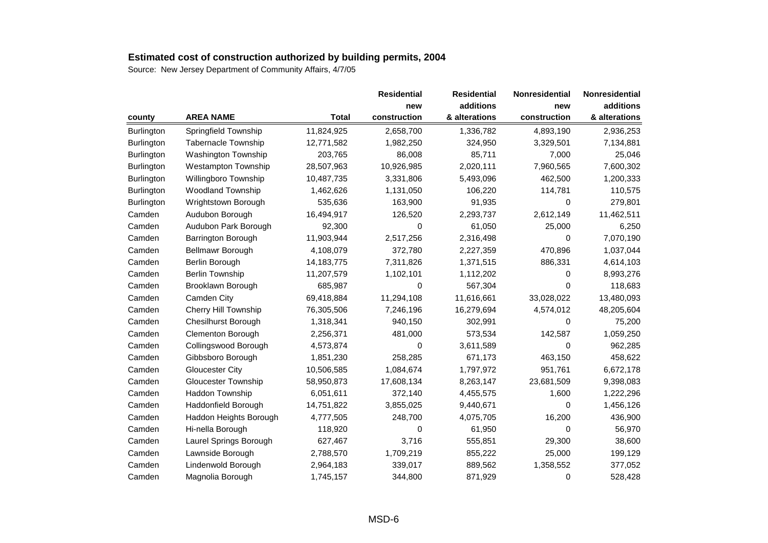|                   |                            |              | <b>Residential</b> | <b>Residential</b> | Nonresidential | Nonresidential |
|-------------------|----------------------------|--------------|--------------------|--------------------|----------------|----------------|
|                   |                            |              | new                | additions          | new            | additions      |
| county            | <b>AREA NAME</b>           | <b>Total</b> | construction       | & alterations      | construction   | & alterations  |
| Burlington        | Springfield Township       | 11,824,925   | 2,658,700          | 1,336,782          | 4,893,190      | 2,936,253      |
| <b>Burlington</b> | <b>Tabernacle Township</b> | 12,771,582   | 1,982,250          | 324,950            | 3,329,501      | 7,134,881      |
| <b>Burlington</b> | <b>Washington Township</b> | 203,765      | 86,008             | 85,711             | 7,000          | 25,046         |
| Burlington        | <b>Westampton Township</b> | 28,507,963   | 10,926,985         | 2,020,111          | 7,960,565      | 7,600,302      |
| Burlington        | Willingboro Township       | 10,487,735   | 3,331,806          | 5,493,096          | 462,500        | 1,200,333      |
| Burlington        | Woodland Township          | 1,462,626    | 1,131,050          | 106,220            | 114,781        | 110,575        |
| Burlington        | Wrightstown Borough        | 535,636      | 163,900            | 91,935             | $\Omega$       | 279,801        |
| Camden            | Audubon Borough            | 16,494,917   | 126,520            | 2,293,737          | 2,612,149      | 11,462,511     |
| Camden            | Audubon Park Borough       | 92,300       | 0                  | 61,050             | 25,000         | 6,250          |
| Camden            | Barrington Borough         | 11,903,944   | 2,517,256          | 2,316,498          | 0              | 7,070,190      |
| Camden            | Bellmawr Borough           | 4,108,079    | 372,780            | 2,227,359          | 470,896        | 1,037,044      |
| Camden            | Berlin Borough             | 14,183,775   | 7,311,826          | 1,371,515          | 886,331        | 4,614,103      |
| Camden            | <b>Berlin Township</b>     | 11,207,579   | 1,102,101          | 1,112,202          | 0              | 8,993,276      |
| Camden            | Brooklawn Borough          | 685,987      | 0                  | 567,304            | 0              | 118,683        |
| Camden            | Camden City                | 69,418,884   | 11,294,108         | 11,616,661         | 33,028,022     | 13,480,093     |
| Camden            | Cherry Hill Township       | 76,305,506   | 7,246,196          | 16,279,694         | 4,574,012      | 48,205,604     |
| Camden            | <b>Chesilhurst Borough</b> | 1,318,341    | 940,150            | 302,991            | 0              | 75,200         |
| Camden            | Clementon Borough          | 2,256,371    | 481,000            | 573,534            | 142,587        | 1,059,250      |
| Camden            | Collingswood Borough       | 4,573,874    | $\mathbf 0$        | 3,611,589          | 0              | 962,285        |
| Camden            | Gibbsboro Borough          | 1,851,230    | 258,285            | 671,173            | 463,150        | 458,622        |
| Camden            | <b>Gloucester City</b>     | 10,506,585   | 1,084,674          | 1,797,972          | 951,761        | 6,672,178      |
| Camden            | Gloucester Township        | 58,950,873   | 17,608,134         | 8,263,147          | 23,681,509     | 9,398,083      |
| Camden            | Haddon Township            | 6,051,611    | 372,140            | 4,455,575          | 1,600          | 1,222,296      |
| Camden            | Haddonfield Borough        | 14,751,822   | 3,855,025          | 9,440,671          | 0              | 1,456,126      |
| Camden            | Haddon Heights Borough     | 4,777,505    | 248,700            | 4,075,705          | 16,200         | 436,900        |
| Camden            | Hi-nella Borough           | 118,920      | 0                  | 61,950             | 0              | 56,970         |
| Camden            | Laurel Springs Borough     | 627,467      | 3,716              | 555,851            | 29,300         | 38,600         |
| Camden            | Lawnside Borough           | 2,788,570    | 1,709,219          | 855,222            | 25,000         | 199,129        |
| Camden            | Lindenwold Borough         | 2,964,183    | 339,017            | 889,562            | 1,358,552      | 377,052        |
| Camden            | Magnolia Borough           | 1,745,157    | 344,800            | 871,929            | 0              | 528,428        |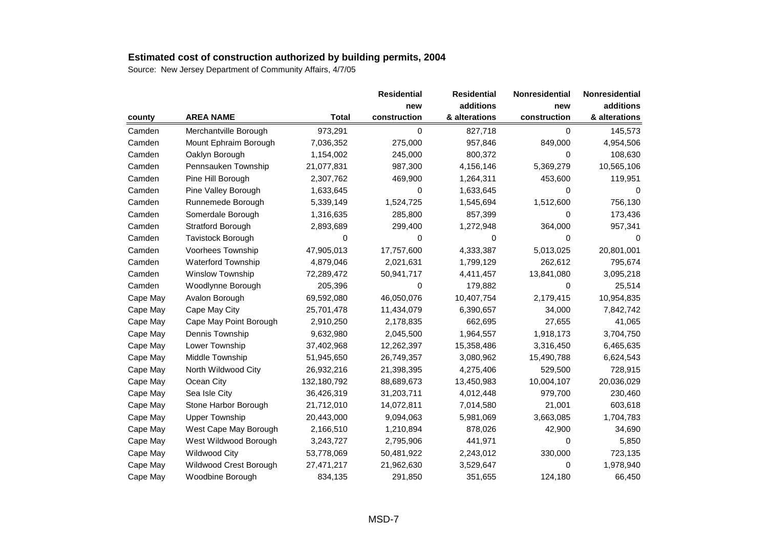|          |                           |              | <b>Residential</b> | <b>Residential</b> | <b>Nonresidential</b> | Nonresidential |
|----------|---------------------------|--------------|--------------------|--------------------|-----------------------|----------------|
|          |                           |              | new                | additions          | new                   | additions      |
| county   | <b>AREA NAME</b>          | <b>Total</b> | construction       | & alterations      | construction          | & alterations  |
| Camden   | Merchantville Borough     | 973,291      | $\Omega$           | 827,718            | $\Omega$              | 145,573        |
| Camden   | Mount Ephraim Borough     | 7,036,352    | 275,000            | 957,846            | 849,000               | 4,954,506      |
| Camden   | Oaklyn Borough            | 1,154,002    | 245,000            | 800,372            | 0                     | 108,630        |
| Camden   | Pennsauken Township       | 21,077,831   | 987,300            | 4,156,146          | 5,369,279             | 10,565,106     |
| Camden   | Pine Hill Borough         | 2,307,762    | 469,900            | 1,264,311          | 453,600               | 119,951        |
| Camden   | Pine Valley Borough       | 1,633,645    | 0                  | 1,633,645          | 0                     | $\Omega$       |
| Camden   | Runnemede Borough         | 5,339,149    | 1,524,725          | 1,545,694          | 1,512,600             | 756,130        |
| Camden   | Somerdale Borough         | 1,316,635    | 285,800            | 857,399            | 0                     | 173,436        |
| Camden   | Stratford Borough         | 2,893,689    | 299,400            | 1,272,948          | 364,000               | 957,341        |
| Camden   | Tavistock Borough         | 0            | 0                  | 0                  | 0                     | 0              |
| Camden   | Voorhees Township         | 47,905,013   | 17,757,600         | 4,333,387          | 5,013,025             | 20,801,001     |
| Camden   | <b>Waterford Township</b> | 4,879,046    | 2,021,631          | 1,799,129          | 262,612               | 795,674        |
| Camden   | Winslow Township          | 72,289,472   | 50,941,717         | 4,411,457          | 13,841,080            | 3,095,218      |
| Camden   | Woodlynne Borough         | 205,396      | $\mathbf 0$        | 179,882            | $\Omega$              | 25,514         |
| Cape May | Avalon Borough            | 69,592,080   | 46,050,076         | 10,407,754         | 2,179,415             | 10,954,835     |
| Cape May | Cape May City             | 25,701,478   | 11,434,079         | 6,390,657          | 34,000                | 7,842,742      |
| Cape May | Cape May Point Borough    | 2,910,250    | 2,178,835          | 662,695            | 27,655                | 41,065         |
| Cape May | Dennis Township           | 9,632,980    | 2,045,500          | 1,964,557          | 1,918,173             | 3,704,750      |
| Cape May | Lower Township            | 37,402,968   | 12,262,397         | 15,358,486         | 3,316,450             | 6,465,635      |
| Cape May | Middle Township           | 51,945,650   | 26,749,357         | 3,080,962          | 15,490,788            | 6,624,543      |
| Cape May | North Wildwood City       | 26,932,216   | 21,398,395         | 4,275,406          | 529,500               | 728,915        |
| Cape May | Ocean City                | 132,180,792  | 88,689,673         | 13,450,983         | 10,004,107            | 20,036,029     |
| Cape May | Sea Isle City             | 36,426,319   | 31,203,711         | 4,012,448          | 979,700               | 230,460        |
| Cape May | Stone Harbor Borough      | 21,712,010   | 14,072,811         | 7,014,580          | 21,001                | 603,618        |
| Cape May | <b>Upper Township</b>     | 20,443,000   | 9,094,063          | 5,981,069          | 3,663,085             | 1,704,783      |
| Cape May | West Cape May Borough     | 2,166,510    | 1,210,894          | 878,026            | 42,900                | 34,690         |
| Cape May | West Wildwood Borough     | 3,243,727    | 2,795,906          | 441,971            | 0                     | 5,850          |
| Cape May | Wildwood City             | 53,778,069   | 50,481,922         | 2,243,012          | 330,000               | 723,135        |
| Cape May | Wildwood Crest Borough    | 27,471,217   | 21,962,630         | 3,529,647          | 0                     | 1,978,940      |
| Cape May | Woodbine Borough          | 834,135      | 291,850            | 351,655            | 124,180               | 66,450         |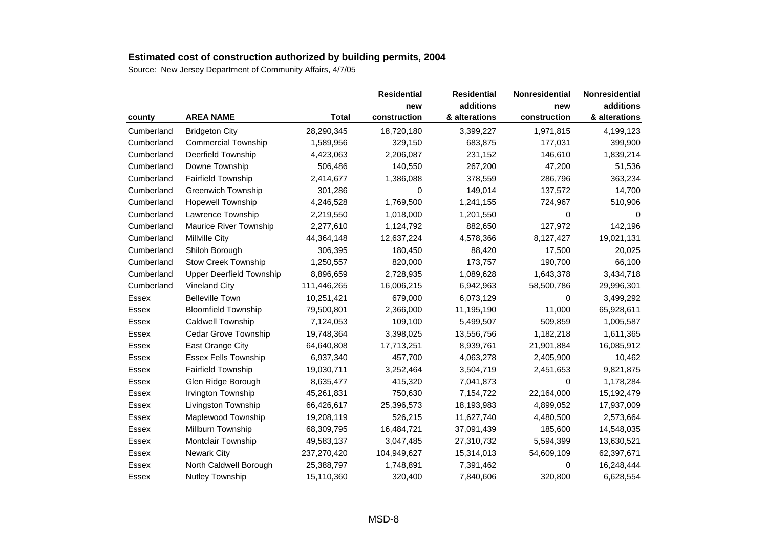|              |                                 |              | <b>Residential</b> | <b>Residential</b> | <b>Nonresidential</b> | Nonresidential |
|--------------|---------------------------------|--------------|--------------------|--------------------|-----------------------|----------------|
|              |                                 |              | new                | additions          | new                   | additions      |
| county       | <b>AREA NAME</b>                | <b>Total</b> | construction       | & alterations      | construction          | & alterations  |
| Cumberland   | <b>Bridgeton City</b>           | 28,290,345   | 18,720,180         | 3,399,227          | 1,971,815             | 4,199,123      |
| Cumberland   | <b>Commercial Township</b>      | 1,589,956    | 329,150            | 683,875            | 177,031               | 399,900        |
| Cumberland   | Deerfield Township              | 4,423,063    | 2,206,087          | 231,152            | 146,610               | 1,839,214      |
| Cumberland   | Downe Township                  | 506,486      | 140,550            | 267,200            | 47,200                | 51,536         |
| Cumberland   | <b>Fairfield Township</b>       | 2,414,677    | 1,386,088          | 378,559            | 286,796               | 363,234        |
| Cumberland   | Greenwich Township              | 301,286      | 0                  | 149,014            | 137,572               | 14,700         |
| Cumberland   | <b>Hopewell Township</b>        | 4,246,528    | 1,769,500          | 1,241,155          | 724,967               | 510,906        |
| Cumberland   | Lawrence Township               | 2,219,550    | 1,018,000          | 1,201,550          | 0                     | 0              |
| Cumberland   | <b>Maurice River Township</b>   | 2,277,610    | 1,124,792          | 882,650            | 127,972               | 142,196        |
| Cumberland   | Millville City                  | 44,364,148   | 12,637,224         | 4,578,366          | 8,127,427             | 19,021,131     |
| Cumberland   | Shiloh Borough                  | 306,395      | 180,450            | 88,420             | 17,500                | 20,025         |
| Cumberland   | <b>Stow Creek Township</b>      | 1,250,557    | 820,000            | 173,757            | 190,700               | 66,100         |
| Cumberland   | <b>Upper Deerfield Township</b> | 8,896,659    | 2,728,935          | 1,089,628          | 1,643,378             | 3,434,718      |
| Cumberland   | <b>Vineland City</b>            | 111,446,265  | 16,006,215         | 6,942,963          | 58,500,786            | 29,996,301     |
| Essex        | <b>Belleville Town</b>          | 10,251,421   | 679,000            | 6,073,129          | 0                     | 3,499,292      |
| Essex        | <b>Bloomfield Township</b>      | 79,500,801   | 2,366,000          | 11,195,190         | 11,000                | 65,928,611     |
| Essex        | Caldwell Township               | 7,124,053    | 109,100            | 5,499,507          | 509,859               | 1,005,587      |
| <b>Essex</b> | Cedar Grove Township            | 19,748,364   | 3,398,025          | 13,556,756         | 1,182,218             | 1,611,365      |
| <b>Essex</b> | East Orange City                | 64,640,808   | 17,713,251         | 8,939,761          | 21,901,884            | 16,085,912     |
| Essex        | <b>Essex Fells Township</b>     | 6,937,340    | 457,700            | 4,063,278          | 2,405,900             | 10,462         |
| Essex        | <b>Fairfield Township</b>       | 19,030,711   | 3,252,464          | 3,504,719          | 2,451,653             | 9,821,875      |
| <b>Essex</b> | Glen Ridge Borough              | 8,635,477    | 415,320            | 7,041,873          | 0                     | 1,178,284      |
| Essex        | Irvington Township              | 45,261,831   | 750,630            | 7,154,722          | 22,164,000            | 15,192,479     |
| Essex        | Livingston Township             | 66,426,617   | 25,396,573         | 18,193,983         | 4,899,052             | 17,937,009     |
| Essex        | Maplewood Township              | 19,208,119   | 526,215            | 11,627,740         | 4,480,500             | 2,573,664      |
| Essex        | Millburn Township               | 68,309,795   | 16,484,721         | 37,091,439         | 185,600               | 14,548,035     |
| Essex        | Montclair Township              | 49,583,137   | 3,047,485          | 27,310,732         | 5,594,399             | 13,630,521     |
| Essex        | <b>Newark City</b>              | 237,270,420  | 104,949,627        | 15,314,013         | 54,609,109            | 62,397,671     |
| <b>Essex</b> | North Caldwell Borough          | 25,388,797   | 1,748,891          | 7,391,462          | 0                     | 16,248,444     |
| Essex        | Nutley Township                 | 15,110,360   | 320,400            | 7,840,606          | 320,800               | 6,628,554      |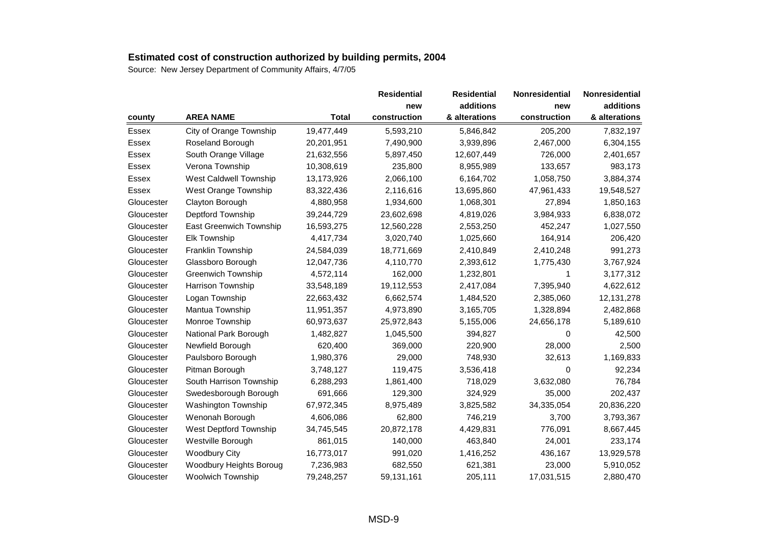|              |                                |              | <b>Residential</b> | <b>Residential</b> | <b>Nonresidential</b> | <b>Nonresidential</b> |
|--------------|--------------------------------|--------------|--------------------|--------------------|-----------------------|-----------------------|
|              |                                |              | new                | additions          | new                   | additions             |
| county       | <b>AREA NAME</b>               | <b>Total</b> | construction       | & alterations      | construction          | & alterations         |
| Essex        | City of Orange Township        | 19,477,449   | 5,593,210          | 5,846,842          | 205,200               | 7,832,197             |
| Essex        | Roseland Borough               | 20,201,951   | 7,490,900          | 3,939,896          | 2,467,000             | 6,304,155             |
| <b>Essex</b> | South Orange Village           | 21,632,556   | 5,897,450          | 12,607,449         | 726,000               | 2,401,657             |
| Essex        | Verona Township                | 10,308,619   | 235,800            | 8,955,989          | 133,657               | 983,173               |
| <b>Essex</b> | West Caldwell Township         | 13,173,926   | 2,066,100          | 6,164,702          | 1,058,750             | 3,884,374             |
| Essex        | West Orange Township           | 83,322,436   | 2,116,616          | 13,695,860         | 47,961,433            | 19,548,527            |
| Gloucester   | Clayton Borough                | 4,880,958    | 1,934,600          | 1,068,301          | 27,894                | 1,850,163             |
| Gloucester   | Deptford Township              | 39,244,729   | 23,602,698         | 4,819,026          | 3,984,933             | 6,838,072             |
| Gloucester   | <b>East Greenwich Township</b> | 16,593,275   | 12,560,228         | 2,553,250          | 452,247               | 1,027,550             |
| Gloucester   | <b>Elk Township</b>            | 4,417,734    | 3,020,740          | 1,025,660          | 164,914               | 206,420               |
| Gloucester   | Franklin Township              | 24,584,039   | 18,771,669         | 2,410,849          | 2,410,248             | 991,273               |
| Gloucester   | Glassboro Borough              | 12,047,736   | 4,110,770          | 2,393,612          | 1,775,430             | 3,767,924             |
| Gloucester   | <b>Greenwich Township</b>      | 4,572,114    | 162,000            | 1,232,801          | 1                     | 3,177,312             |
| Gloucester   | Harrison Township              | 33,548,189   | 19,112,553         | 2,417,084          | 7,395,940             | 4,622,612             |
| Gloucester   | Logan Township                 | 22,663,432   | 6,662,574          | 1,484,520          | 2,385,060             | 12, 131, 278          |
| Gloucester   | Mantua Township                | 11,951,357   | 4,973,890          | 3,165,705          | 1,328,894             | 2,482,868             |
| Gloucester   | Monroe Township                | 60,973,637   | 25,972,843         | 5,155,006          | 24,656,178            | 5,189,610             |
| Gloucester   | National Park Borough          | 1,482,827    | 1,045,500          | 394,827            | 0                     | 42,500                |
| Gloucester   | Newfield Borough               | 620,400      | 369,000            | 220,900            | 28,000                | 2,500                 |
| Gloucester   | Paulsboro Borough              | 1,980,376    | 29,000             | 748,930            | 32,613                | 1,169,833             |
| Gloucester   | Pitman Borough                 | 3,748,127    | 119,475            | 3,536,418          | $\Omega$              | 92,234                |
| Gloucester   | South Harrison Township        | 6,288,293    | 1,861,400          | 718,029            | 3,632,080             | 76,784                |
| Gloucester   | Swedesborough Borough          | 691,666      | 129,300            | 324,929            | 35,000                | 202,437               |
| Gloucester   | Washington Township            | 67,972,345   | 8,975,489          | 3,825,582          | 34,335,054            | 20,836,220            |
| Gloucester   | Wenonah Borough                | 4,606,086    | 62,800             | 746,219            | 3,700                 | 3,793,367             |
| Gloucester   | West Deptford Township         | 34,745,545   | 20,872,178         | 4,429,831          | 776,091               | 8,667,445             |
| Gloucester   | Westville Borough              | 861,015      | 140,000            | 463,840            | 24,001                | 233,174               |
| Gloucester   | <b>Woodbury City</b>           | 16,773,017   | 991,020            | 1,416,252          | 436,167               | 13,929,578            |
| Gloucester   | Woodbury Heights Boroug        | 7,236,983    | 682,550            | 621,381            | 23,000                | 5,910,052             |
| Gloucester   | <b>Woolwich Township</b>       | 79,248,257   | 59,131,161         | 205,111            | 17,031,515            | 2,880,470             |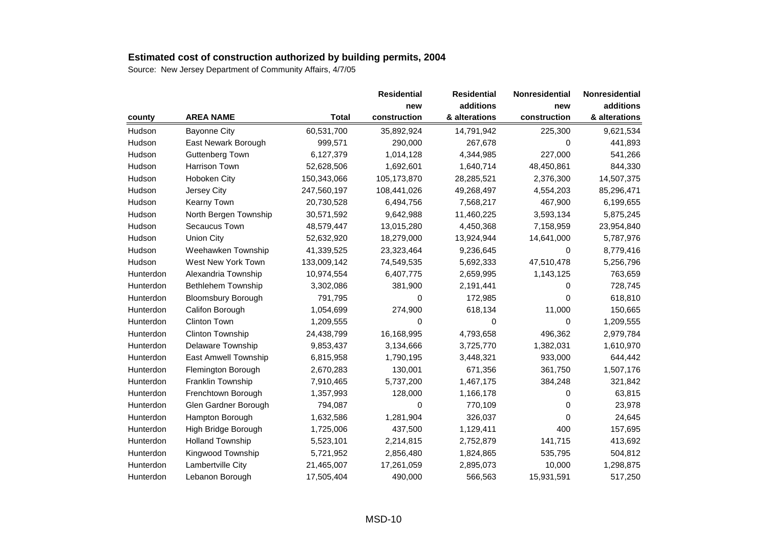|           |                           |              | <b>Residential</b> | <b>Residential</b> | <b>Nonresidential</b> | Nonresidential |
|-----------|---------------------------|--------------|--------------------|--------------------|-----------------------|----------------|
|           |                           |              | new                | additions          | new                   | additions      |
| county    | <b>AREA NAME</b>          | <b>Total</b> | construction       | & alterations      | construction          | & alterations  |
| Hudson    | <b>Bayonne City</b>       | 60,531,700   | 35,892,924         | 14,791,942         | 225,300               | 9,621,534      |
| Hudson    | East Newark Borough       | 999,571      | 290,000            | 267,678            | 0                     | 441,893        |
| Hudson    | Guttenberg Town           | 6,127,379    | 1,014,128          | 4,344,985          | 227,000               | 541,266        |
| Hudson    | <b>Harrison Town</b>      | 52,628,506   | 1,692,601          | 1,640,714          | 48,450,861            | 844,330        |
| Hudson    | Hoboken City              | 150,343,066  | 105,173,870        | 28,285,521         | 2,376,300             | 14,507,375     |
| Hudson    | Jersey City               | 247,560,197  | 108,441,026        | 49,268,497         | 4,554,203             | 85,296,471     |
| Hudson    | <b>Kearny Town</b>        | 20,730,528   | 6,494,756          | 7,568,217          | 467,900               | 6,199,655      |
| Hudson    | North Bergen Township     | 30,571,592   | 9,642,988          | 11,460,225         | 3,593,134             | 5,875,245      |
| Hudson    | Secaucus Town             | 48,579,447   | 13,015,280         | 4,450,368          | 7,158,959             | 23,954,840     |
| Hudson    | <b>Union City</b>         | 52,632,920   | 18,279,000         | 13,924,944         | 14,641,000            | 5,787,976      |
| Hudson    | Weehawken Township        | 41,339,525   | 23,323,464         | 9,236,645          | 0                     | 8,779,416      |
| Hudson    | West New York Town        | 133,009,142  | 74,549,535         | 5,692,333          | 47,510,478            | 5,256,796      |
| Hunterdon | Alexandria Township       | 10,974,554   | 6,407,775          | 2,659,995          | 1,143,125             | 763,659        |
| Hunterdon | Bethlehem Township        | 3,302,086    | 381,900            | 2,191,441          | 0                     | 728,745        |
| Hunterdon | <b>Bloomsbury Borough</b> | 791,795      | 0                  | 172,985            | 0                     | 618,810        |
| Hunterdon | Califon Borough           | 1,054,699    | 274,900            | 618,134            | 11,000                | 150,665        |
| Hunterdon | Clinton Town              | 1,209,555    | $\mathbf 0$        | 0                  | 0                     | 1,209,555      |
| Hunterdon | Clinton Township          | 24,438,799   | 16,168,995         | 4,793,658          | 496,362               | 2,979,784      |
| Hunterdon | Delaware Township         | 9,853,437    | 3,134,666          | 3,725,770          | 1,382,031             | 1,610,970      |
| Hunterdon | East Amwell Township      | 6,815,958    | 1,790,195          | 3,448,321          | 933,000               | 644,442        |
| Hunterdon | Flemington Borough        | 2,670,283    | 130,001            | 671,356            | 361,750               | 1,507,176      |
| Hunterdon | Franklin Township         | 7,910,465    | 5,737,200          | 1,467,175          | 384,248               | 321,842        |
| Hunterdon | Frenchtown Borough        | 1,357,993    | 128,000            | 1,166,178          | 0                     | 63,815         |
| Hunterdon | Glen Gardner Borough      | 794,087      | 0                  | 770,109            | 0                     | 23,978         |
| Hunterdon | Hampton Borough           | 1,632,586    | 1,281,904          | 326,037            | 0                     | 24,645         |
| Hunterdon | High Bridge Borough       | 1,725,006    | 437,500            | 1,129,411          | 400                   | 157,695        |
| Hunterdon | <b>Holland Township</b>   | 5,523,101    | 2,214,815          | 2,752,879          | 141,715               | 413,692        |
| Hunterdon | Kingwood Township         | 5,721,952    | 2,856,480          | 1,824,865          | 535,795               | 504,812        |
| Hunterdon | Lambertville City         | 21,465,007   | 17,261,059         | 2,895,073          | 10,000                | 1,298,875      |
| Hunterdon | Lebanon Borough           | 17,505,404   | 490,000            | 566,563            | 15,931,591            | 517,250        |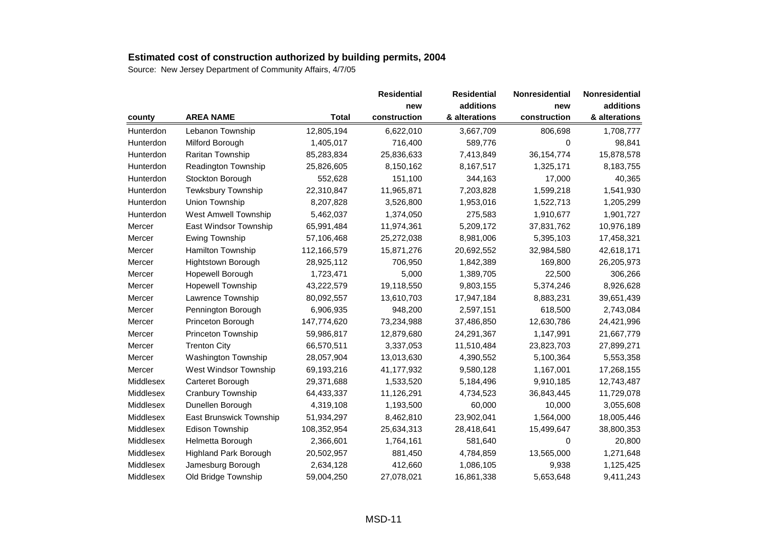|           |                              |              | <b>Residential</b> | <b>Residential</b> | <b>Nonresidential</b> | Nonresidential |
|-----------|------------------------------|--------------|--------------------|--------------------|-----------------------|----------------|
|           |                              |              | new                | additions          | new                   | additions      |
| county    | <b>AREA NAME</b>             | <b>Total</b> | construction       | & alterations      | construction          | & alterations  |
| Hunterdon | Lebanon Township             | 12,805,194   | 6,622,010          | 3,667,709          | 806,698               | 1,708,777      |
| Hunterdon | Milford Borough              | 1,405,017    | 716,400            | 589,776            | 0                     | 98,841         |
| Hunterdon | Raritan Township             | 85,283,834   | 25,836,633         | 7,413,849          | 36, 154, 774          | 15,878,578     |
| Hunterdon | Readington Township          | 25,826,605   | 8,150,162          | 8,167,517          | 1,325,171             | 8,183,755      |
| Hunterdon | Stockton Borough             | 552,628      | 151,100            | 344,163            | 17,000                | 40,365         |
| Hunterdon | Tewksbury Township           | 22,310,847   | 11,965,871         | 7,203,828          | 1,599,218             | 1,541,930      |
| Hunterdon | Union Township               | 8,207,828    | 3,526,800          | 1,953,016          | 1,522,713             | 1,205,299      |
| Hunterdon | <b>West Amwell Township</b>  | 5,462,037    | 1,374,050          | 275,583            | 1,910,677             | 1,901,727      |
| Mercer    | East Windsor Township        | 65,991,484   | 11,974,361         | 5,209,172          | 37,831,762            | 10,976,189     |
| Mercer    | <b>Ewing Township</b>        | 57,106,468   | 25,272,038         | 8,981,006          | 5,395,103             | 17,458,321     |
| Mercer    | Hamilton Township            | 112,166,579  | 15,871,276         | 20,692,552         | 32,984,580            | 42,618,171     |
| Mercer    | Hightstown Borough           | 28,925,112   | 706,950            | 1,842,389          | 169,800               | 26,205,973     |
| Mercer    | Hopewell Borough             | 1,723,471    | 5,000              | 1,389,705          | 22,500                | 306,266        |
| Mercer    | <b>Hopewell Township</b>     | 43,222,579   | 19,118,550         | 9,803,155          | 5,374,246             | 8,926,628      |
| Mercer    | Lawrence Township            | 80,092,557   | 13,610,703         | 17,947,184         | 8,883,231             | 39,651,439     |
| Mercer    | Pennington Borough           | 6,906,935    | 948,200            | 2,597,151          | 618,500               | 2,743,084      |
| Mercer    | Princeton Borough            | 147,774,620  | 73,234,988         | 37,486,850         | 12,630,786            | 24,421,996     |
| Mercer    | Princeton Township           | 59,986,817   | 12,879,680         | 24,291,367         | 1,147,991             | 21,667,779     |
| Mercer    | <b>Trenton City</b>          | 66,570,511   | 3,337,053          | 11,510,484         | 23,823,703            | 27,899,271     |
| Mercer    | <b>Washington Township</b>   | 28,057,904   | 13,013,630         | 4,390,552          | 5,100,364             | 5,553,358      |
| Mercer    | West Windsor Township        | 69,193,216   | 41,177,932         | 9,580,128          | 1,167,001             | 17,268,155     |
| Middlesex | Carteret Borough             | 29,371,688   | 1,533,520          | 5,184,496          | 9,910,185             | 12,743,487     |
| Middlesex | Cranbury Township            | 64,433,337   | 11,126,291         | 4,734,523          | 36,843,445            | 11,729,078     |
| Middlesex | Dunellen Borough             | 4,319,108    | 1,193,500          | 60,000             | 10,000                | 3,055,608      |
| Middlesex | East Brunswick Township      | 51,934,297   | 8,462,810          | 23,902,041         | 1,564,000             | 18,005,446     |
| Middlesex | Edison Township              | 108,352,954  | 25,634,313         | 28,418,641         | 15,499,647            | 38,800,353     |
| Middlesex | Helmetta Borough             | 2,366,601    | 1,764,161          | 581,640            | $\Omega$              | 20,800         |
| Middlesex | <b>Highland Park Borough</b> | 20,502,957   | 881,450            | 4,784,859          | 13,565,000            | 1,271,648      |
| Middlesex | Jamesburg Borough            | 2,634,128    | 412,660            | 1,086,105          | 9,938                 | 1,125,425      |
| Middlesex | Old Bridge Township          | 59,004,250   | 27,078,021         | 16,861,338         | 5,653,648             | 9,411,243      |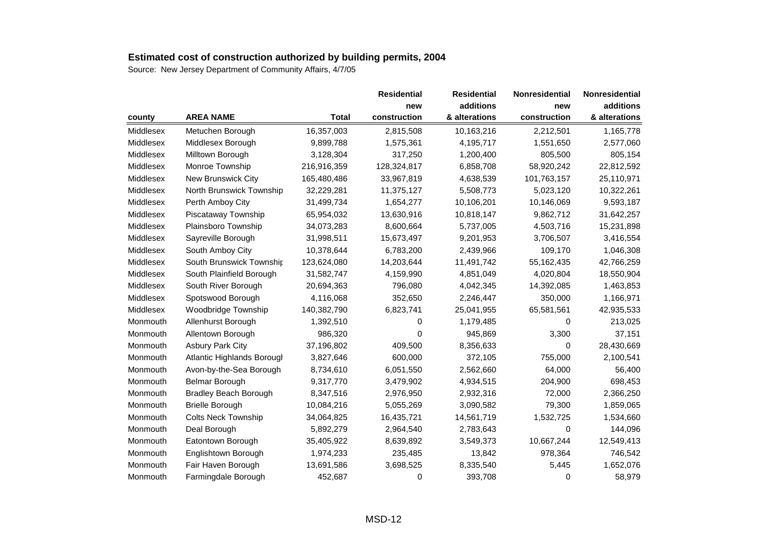|           |                              |              | <b>Residential</b> | <b>Residential</b> | <b>Nonresidential</b> | Nonresidential |
|-----------|------------------------------|--------------|--------------------|--------------------|-----------------------|----------------|
|           |                              |              | new                | additions          | new                   | additions      |
| county    | <b>AREA NAME</b>             | <b>Total</b> | construction       | & alterations      | construction          | & alterations  |
| Middlesex | Metuchen Borough             | 16,357,003   | 2,815,508          | 10,163,216         | 2,212,501             | 1,165,778      |
| Middlesex | Middlesex Borough            | 9,899,788    | 1,575,361          | 4,195,717          | 1,551,650             | 2,577,060      |
| Middlesex | Milltown Borough             | 3,128,304    | 317,250            | 1,200,400          | 805,500               | 805,154        |
| Middlesex | Monroe Township              | 216,916,359  | 128,324,817        | 6,858,708          | 58,920,242            | 22,812,592     |
| Middlesex | New Brunswick City           | 165,480,486  | 33,967,819         | 4,638,539          | 101,763,157           | 25,110,971     |
| Middlesex | North Brunswick Township     | 32,229,281   | 11,375,127         | 5,508,773          | 5,023,120             | 10,322,261     |
| Middlesex | Perth Amboy City             | 31,499,734   | 1,654,277          | 10,106,201         | 10,146,069            | 9,593,187      |
| Middlesex | Piscataway Township          | 65,954,032   | 13,630,916         | 10,818,147         | 9,862,712             | 31,642,257     |
| Middlesex | Plainsboro Township          | 34,073,283   | 8,600,664          | 5,737,005          | 4,503,716             | 15,231,898     |
| Middlesex | Sayreville Borough           | 31,998,511   | 15,673,497         | 9,201,953          | 3,706,507             | 3,416,554      |
| Middlesex | South Amboy City             | 10,378,644   | 6,783,200          | 2,439,966          | 109,170               | 1,046,308      |
| Middlesex | South Brunswick Township     | 123,624,080  | 14,203,644         | 11,491,742         | 55,162,435            | 42,766,259     |
| Middlesex | South Plainfield Borough     | 31,582,747   | 4,159,990          | 4,851,049          | 4,020,804             | 18,550,904     |
| Middlesex | South River Borough          | 20,694,363   | 796,080            | 4,042,345          | 14,392,085            | 1,463,853      |
| Middlesex | Spotswood Borough            | 4,116,068    | 352,650            | 2,246,447          | 350,000               | 1,166,971      |
| Middlesex | Woodbridge Township          | 140,382,790  | 6,823,741          | 25,041,955         | 65,581,561            | 42,935,533     |
| Monmouth  | Allenhurst Borough           | 1,392,510    | 0                  | 1,179,485          | 0                     | 213,025        |
| Monmouth  | Allentown Borough            | 986,320      | $\mathbf 0$        | 945,869            | 3,300                 | 37,151         |
| Monmouth  | <b>Asbury Park City</b>      | 37,196,802   | 409,500            | 8,356,633          | 0                     | 28,430,669     |
| Monmouth  | Atlantic Highlands Borougl   | 3,827,646    | 600,000            | 372,105            | 755,000               | 2,100,541      |
| Monmouth  | Avon-by-the-Sea Borough      | 8,734,610    | 6,051,550          | 2,562,660          | 64,000                | 56,400         |
| Monmouth  | Belmar Borough               | 9,317,770    | 3,479,902          | 4,934,515          | 204,900               | 698,453        |
| Monmouth  | <b>Bradley Beach Borough</b> | 8,347,516    | 2,976,950          | 2,932,316          | 72,000                | 2,366,250      |
| Monmouth  | <b>Brielle Borough</b>       | 10,084,216   | 5,055,269          | 3,090,582          | 79,300                | 1,859,065      |
| Monmouth  | <b>Colts Neck Township</b>   | 34,064,825   | 16,435,721         | 14,561,719         | 1,532,725             | 1,534,660      |
| Monmouth  | Deal Borough                 | 5,892,279    | 2,964,540          | 2,783,643          | 0                     | 144,096        |
| Monmouth  | Eatontown Borough            | 35,405,922   | 8,639,892          | 3,549,373          | 10,667,244            | 12,549,413     |
| Monmouth  | Englishtown Borough          | 1,974,233    | 235,485            | 13,842             | 978,364               | 746,542        |
| Monmouth  | Fair Haven Borough           | 13,691,586   | 3,698,525          | 8,335,540          | 5,445                 | 1,652,076      |
| Monmouth  | Farmingdale Borough          | 452,687      | 0                  | 393,708            | 0                     | 58,979         |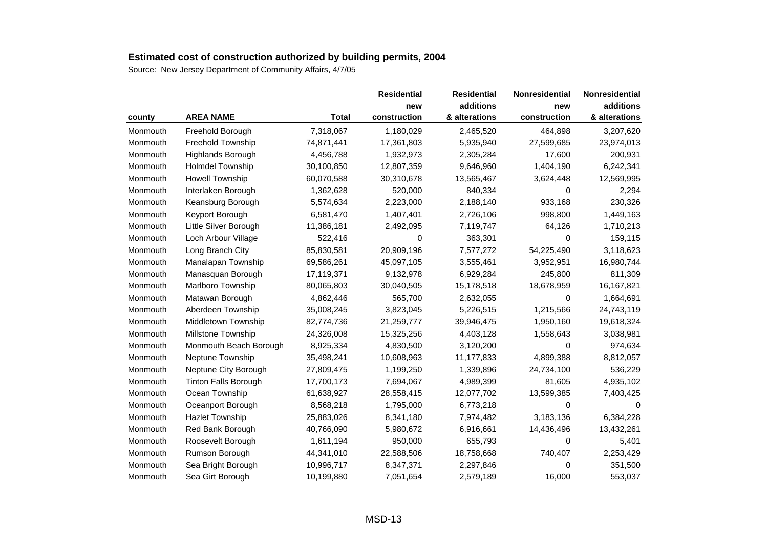|          |                             |              | <b>Residential</b> | <b>Residential</b> | Nonresidential | Nonresidential |
|----------|-----------------------------|--------------|--------------------|--------------------|----------------|----------------|
|          |                             |              | new                | additions          | new            | additions      |
| county   | <b>AREA NAME</b>            | <b>Total</b> | construction       | & alterations      | construction   | & alterations  |
| Monmouth | Freehold Borough            | 7,318,067    | 1,180,029          | 2,465,520          | 464,898        | 3,207,620      |
| Monmouth | Freehold Township           | 74,871,441   | 17,361,803         | 5,935,940          | 27,599,685     | 23,974,013     |
| Monmouth | Highlands Borough           | 4,456,788    | 1,932,973          | 2,305,284          | 17,600         | 200,931        |
| Monmouth | <b>Holmdel Township</b>     | 30,100,850   | 12,807,359         | 9,646,960          | 1,404,190      | 6,242,341      |
| Monmouth | <b>Howell Township</b>      | 60,070,588   | 30,310,678         | 13,565,467         | 3,624,448      | 12,569,995     |
| Monmouth | Interlaken Borough          | 1,362,628    | 520,000            | 840,334            | $\Omega$       | 2,294          |
| Monmouth | Keansburg Borough           | 5,574,634    | 2,223,000          | 2,188,140          | 933,168        | 230,326        |
| Monmouth | Keyport Borough             | 6,581,470    | 1,407,401          | 2,726,106          | 998,800        | 1,449,163      |
| Monmouth | Little Silver Borough       | 11,386,181   | 2,492,095          | 7,119,747          | 64,126         | 1,710,213      |
| Monmouth | Loch Arbour Village         | 522,416      | 0                  | 363,301            | 0              | 159,115        |
| Monmouth | Long Branch City            | 85,830,581   | 20,909,196         | 7,577,272          | 54,225,490     | 3,118,623      |
| Monmouth | Manalapan Township          | 69,586,261   | 45,097,105         | 3,555,461          | 3,952,951      | 16,980,744     |
| Monmouth | Manasquan Borough           | 17,119,371   | 9,132,978          | 6,929,284          | 245,800        | 811,309        |
| Monmouth | Marlboro Township           | 80,065,803   | 30,040,505         | 15,178,518         | 18,678,959     | 16,167,821     |
| Monmouth | Matawan Borough             | 4,862,446    | 565,700            | 2,632,055          | 0              | 1,664,691      |
| Monmouth | Aberdeen Township           | 35,008,245   | 3,823,045          | 5,226,515          | 1,215,566      | 24,743,119     |
| Monmouth | Middletown Township         | 82,774,736   | 21,259,777         | 39,946,475         | 1,950,160      | 19,618,324     |
| Monmouth | Millstone Township          | 24,326,008   | 15,325,256         | 4,403,128          | 1,558,643      | 3,038,981      |
| Monmouth | Monmouth Beach Borough      | 8,925,334    | 4,830,500          | 3,120,200          | 0              | 974,634        |
| Monmouth | Neptune Township            | 35,498,241   | 10,608,963         | 11,177,833         | 4,899,388      | 8,812,057      |
| Monmouth | Neptune City Borough        | 27,809,475   | 1,199,250          | 1,339,896          | 24,734,100     | 536,229        |
| Monmouth | <b>Tinton Falls Borough</b> | 17,700,173   | 7,694,067          | 4,989,399          | 81,605         | 4,935,102      |
| Monmouth | Ocean Township              | 61,638,927   | 28,558,415         | 12,077,702         | 13,599,385     | 7,403,425      |
| Monmouth | Oceanport Borough           | 8,568,218    | 1,795,000          | 6,773,218          | 0              | 0              |
| Monmouth | <b>Hazlet Township</b>      | 25,883,026   | 8,341,180          | 7,974,482          | 3,183,136      | 6,384,228      |
| Monmouth | Red Bank Borough            | 40,766,090   | 5,980,672          | 6,916,661          | 14,436,496     | 13,432,261     |
| Monmouth | Roosevelt Borough           | 1,611,194    | 950,000            | 655,793            | 0              | 5,401          |
| Monmouth | Rumson Borough              | 44,341,010   | 22,588,506         | 18,758,668         | 740,407        | 2,253,429      |
| Monmouth | Sea Bright Borough          | 10,996,717   | 8,347,371          | 2,297,846          | 0              | 351,500        |
| Monmouth | Sea Girt Borough            | 10,199,880   | 7,051,654          | 2,579,189          | 16,000         | 553,037        |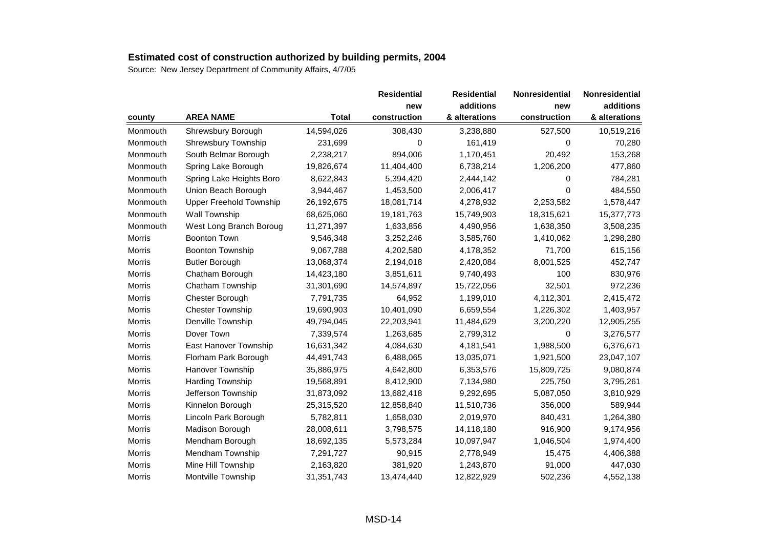|          |                                |              | <b>Residential</b> | <b>Residential</b> | <b>Nonresidential</b> | Nonresidential |
|----------|--------------------------------|--------------|--------------------|--------------------|-----------------------|----------------|
|          |                                |              | new                | additions          | new                   | additions      |
| county   | <b>AREA NAME</b>               | <b>Total</b> | construction       | & alterations      | construction          | & alterations  |
| Monmouth | Shrewsbury Borough             | 14,594,026   | 308,430            | 3,238,880          | 527,500               | 10,519,216     |
| Monmouth | <b>Shrewsbury Township</b>     | 231,699      | 0                  | 161,419            | 0                     | 70,280         |
| Monmouth | South Belmar Borough           | 2,238,217    | 894,006            | 1,170,451          | 20,492                | 153,268        |
| Monmouth | Spring Lake Borough            | 19,826,674   | 11,404,400         | 6,738,214          | 1,206,200             | 477,860        |
| Monmouth | Spring Lake Heights Boro       | 8,622,843    | 5,394,420          | 2,444,142          | 0                     | 784,281        |
| Monmouth | Union Beach Borough            | 3,944,467    | 1,453,500          | 2,006,417          | 0                     | 484,550        |
| Monmouth | <b>Upper Freehold Township</b> | 26,192,675   | 18,081,714         | 4,278,932          | 2,253,582             | 1,578,447      |
| Monmouth | Wall Township                  | 68,625,060   | 19,181,763         | 15,749,903         | 18,315,621            | 15,377,773     |
| Monmouth | West Long Branch Boroug        | 11,271,397   | 1,633,856          | 4,490,956          | 1,638,350             | 3,508,235      |
| Morris   | <b>Boonton Town</b>            | 9,546,348    | 3,252,246          | 3,585,760          | 1,410,062             | 1,298,280      |
| Morris   | <b>Boonton Township</b>        | 9,067,788    | 4,202,580          | 4,178,352          | 71,700                | 615,156        |
| Morris   | <b>Butler Borough</b>          | 13,068,374   | 2,194,018          | 2,420,084          | 8,001,525             | 452,747        |
| Morris   | Chatham Borough                | 14,423,180   | 3,851,611          | 9,740,493          | 100                   | 830,976        |
| Morris   | Chatham Township               | 31,301,690   | 14,574,897         | 15,722,056         | 32,501                | 972,236        |
| Morris   | Chester Borough                | 7,791,735    | 64,952             | 1,199,010          | 4,112,301             | 2,415,472      |
| Morris   | <b>Chester Township</b>        | 19,690,903   | 10,401,090         | 6,659,554          | 1,226,302             | 1,403,957      |
| Morris   | Denville Township              | 49,794,045   | 22,203,941         | 11,484,629         | 3,200,220             | 12,905,255     |
| Morris   | Dover Town                     | 7,339,574    | 1,263,685          | 2,799,312          | 0                     | 3,276,577      |
| Morris   | East Hanover Township          | 16,631,342   | 4,084,630          | 4,181,541          | 1,988,500             | 6,376,671      |
| Morris   | Florham Park Borough           | 44,491,743   | 6,488,065          | 13,035,071         | 1,921,500             | 23,047,107     |
| Morris   | Hanover Township               | 35,886,975   | 4,642,800          | 6,353,576          | 15,809,725            | 9,080,874      |
| Morris   | Harding Township               | 19,568,891   | 8,412,900          | 7,134,980          | 225,750               | 3,795,261      |
| Morris   | Jefferson Township             | 31,873,092   | 13,682,418         | 9,292,695          | 5,087,050             | 3,810,929      |
| Morris   | Kinnelon Borough               | 25,315,520   | 12,858,840         | 11,510,736         | 356,000               | 589,944        |
| Morris   | Lincoln Park Borough           | 5,782,811    | 1,658,030          | 2,019,970          | 840,431               | 1,264,380      |
| Morris   | Madison Borough                | 28,008,611   | 3,798,575          | 14,118,180         | 916,900               | 9,174,956      |
| Morris   | Mendham Borough                | 18,692,135   | 5,573,284          | 10,097,947         | 1,046,504             | 1,974,400      |
| Morris   | Mendham Township               | 7,291,727    | 90,915             | 2,778,949          | 15,475                | 4,406,388      |
| Morris   | Mine Hill Township             | 2,163,820    | 381,920            | 1,243,870          | 91,000                | 447,030        |
| Morris   | Montville Township             | 31,351,743   | 13,474,440         | 12,822,929         | 502,236               | 4,552,138      |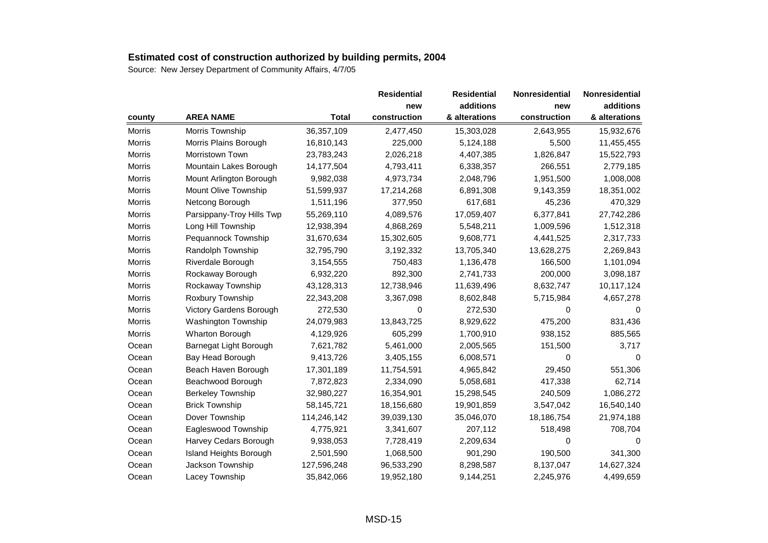|               |                           |              | <b>Residential</b> | <b>Residential</b> | Nonresidential | Nonresidential |
|---------------|---------------------------|--------------|--------------------|--------------------|----------------|----------------|
|               |                           |              | new                | additions          | new            | additions      |
| county        | <b>AREA NAME</b>          | <b>Total</b> | construction       | & alterations      | construction   | & alterations  |
| <b>Morris</b> | Morris Township           | 36,357,109   | 2,477,450          | 15,303,028         | 2,643,955      | 15,932,676     |
| Morris        | Morris Plains Borough     | 16,810,143   | 225,000            | 5,124,188          | 5,500          | 11,455,455     |
| Morris        | Morristown Town           | 23,783,243   | 2,026,218          | 4,407,385          | 1,826,847      | 15,522,793     |
| <b>Morris</b> | Mountain Lakes Borough    | 14,177,504   | 4,793,411          | 6,338,357          | 266,551        | 2,779,185      |
| Morris        | Mount Arlington Borough   | 9,982,038    | 4,973,734          | 2,048,796          | 1,951,500      | 1,008,008      |
| Morris        | Mount Olive Township      | 51,599,937   | 17,214,268         | 6,891,308          | 9,143,359      | 18,351,002     |
| <b>Morris</b> | Netcong Borough           | 1,511,196    | 377,950            | 617,681            | 45,236         | 470,329        |
| Morris        | Parsippany-Troy Hills Twp | 55,269,110   | 4,089,576          | 17,059,407         | 6,377,841      | 27,742,286     |
| Morris        | Long Hill Township        | 12,938,394   | 4,868,269          | 5,548,211          | 1,009,596      | 1,512,318      |
| Morris        | Pequannock Township       | 31,670,634   | 15,302,605         | 9,608,771          | 4,441,525      | 2,317,733      |
| <b>Morris</b> | Randolph Township         | 32,795,790   | 3,192,332          | 13,705,340         | 13,628,275     | 2,269,843      |
| Morris        | Riverdale Borough         | 3,154,555    | 750,483            | 1,136,478          | 166,500        | 1,101,094      |
| Morris        | Rockaway Borough          | 6,932,220    | 892,300            | 2,741,733          | 200,000        | 3,098,187      |
| Morris        | Rockaway Township         | 43,128,313   | 12,738,946         | 11,639,496         | 8,632,747      | 10,117,124     |
| <b>Morris</b> | Roxbury Township          | 22,343,208   | 3,367,098          | 8,602,848          | 5,715,984      | 4,657,278      |
| Morris        | Victory Gardens Borough   | 272,530      | 0                  | 272,530            | 0              | 0              |
| Morris        | Washington Township       | 24,079,983   | 13,843,725         | 8,929,622          | 475,200        | 831,436        |
| <b>Morris</b> | <b>Wharton Borough</b>    | 4,129,926    | 605,299            | 1,700,910          | 938,152        | 885,565        |
| Ocean         | Barnegat Light Borough    | 7,621,782    | 5,461,000          | 2,005,565          | 151,500        | 3,717          |
| Ocean         | Bay Head Borough          | 9,413,726    | 3,405,155          | 6,008,571          | 0              | $\Omega$       |
| Ocean         | Beach Haven Borough       | 17,301,189   | 11,754,591         | 4,965,842          | 29,450         | 551,306        |
| Ocean         | Beachwood Borough         | 7,872,823    | 2,334,090          | 5,058,681          | 417,338        | 62,714         |
| Ocean         | <b>Berkeley Township</b>  | 32,980,227   | 16,354,901         | 15,298,545         | 240,509        | 1,086,272      |
| Ocean         | <b>Brick Township</b>     | 58,145,721   | 18,156,680         | 19,901,859         | 3,547,042      | 16,540,140     |
| Ocean         | Dover Township            | 114,246,142  | 39,039,130         | 35,046,070         | 18,186,754     | 21,974,188     |
| Ocean         | Eagleswood Township       | 4,775,921    | 3,341,607          | 207,112            | 518,498        | 708,704        |
| Ocean         | Harvey Cedars Borough     | 9,938,053    | 7,728,419          | 2,209,634          | 0              | 0              |
| Ocean         | Island Heights Borough    | 2,501,590    | 1,068,500          | 901,290            | 190,500        | 341,300        |
| Ocean         | Jackson Township          | 127,596,248  | 96,533,290         | 8,298,587          | 8,137,047      | 14,627,324     |
| Ocean         | Lacey Township            | 35,842,066   | 19,952,180         | 9,144,251          | 2,245,976      | 4,499,659      |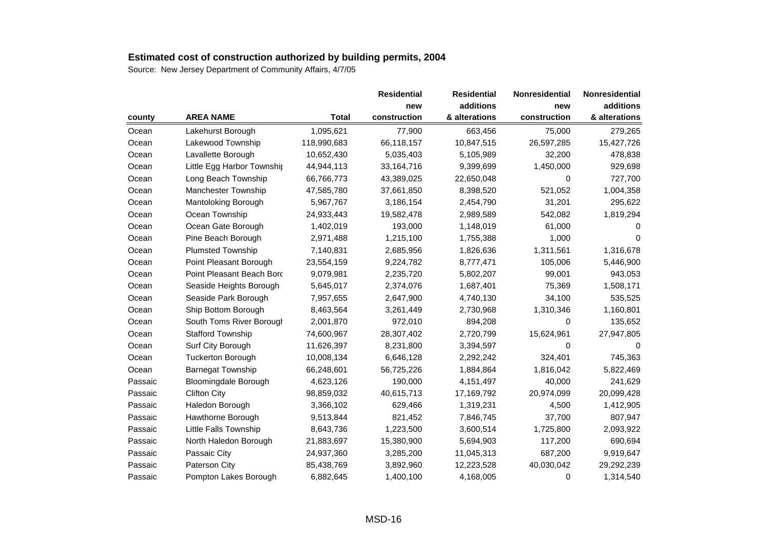|         |                             |              | <b>Residential</b> | <b>Residential</b> | <b>Nonresidential</b> | Nonresidential |
|---------|-----------------------------|--------------|--------------------|--------------------|-----------------------|----------------|
|         |                             |              | new                | additions          | new                   | additions      |
| county  | <b>AREA NAME</b>            | <b>Total</b> | construction       | & alterations      | construction          | & alterations  |
| Ocean   | Lakehurst Borough           | 1,095,621    | 77,900             | 663,456            | 75,000                | 279,265        |
| Ocean   | Lakewood Township           | 118,990,683  | 66,118,157         | 10,847,515         | 26,597,285            | 15,427,726     |
| Ocean   | Lavallette Borough          | 10,652,430   | 5,035,403          | 5,105,989          | 32,200                | 478,838        |
| Ocean   | Little Egg Harbor Township  | 44,944,113   | 33, 164, 716       | 9,399,699          | 1,450,000             | 929,698        |
| Ocean   | Long Beach Township         | 66,766,773   | 43,389,025         | 22,650,048         | 0                     | 727,700        |
| Ocean   | Manchester Township         | 47,585,780   | 37,661,850         | 8,398,520          | 521,052               | 1,004,358      |
| Ocean   | Mantoloking Borough         | 5,967,767    | 3,186,154          | 2,454,790          | 31,201                | 295,622        |
| Ocean   | Ocean Township              | 24,933,443   | 19,582,478         | 2,989,589          | 542,082               | 1,819,294      |
| Ocean   | Ocean Gate Borough          | 1,402,019    | 193,000            | 1,148,019          | 61,000                | 0              |
| Ocean   | Pine Beach Borough          | 2,971,488    | 1,215,100          | 1,755,388          | 1,000                 | 0              |
| Ocean   | <b>Plumsted Township</b>    | 7,140,831    | 2,685,956          | 1,826,636          | 1,311,561             | 1,316,678      |
| Ocean   | Point Pleasant Borough      | 23,554,159   | 9,224,782          | 8,777,471          | 105,006               | 5,446,900      |
| Ocean   | Point Pleasant Beach Bord   | 9,079,981    | 2,235,720          | 5,802,207          | 99,001                | 943,053        |
| Ocean   | Seaside Heights Borough     | 5,645,017    | 2,374,076          | 1,687,401          | 75,369                | 1,508,171      |
| Ocean   | Seaside Park Borough        | 7,957,655    | 2,647,900          | 4,740,130          | 34,100                | 535,525        |
| Ocean   | Ship Bottom Borough         | 8,463,564    | 3,261,449          | 2,730,968          | 1,310,346             | 1,160,801      |
| Ocean   | South Toms River Borougl    | 2,001,870    | 972,010            | 894,208            | 0                     | 135,652        |
| Ocean   | <b>Stafford Township</b>    | 74,600,967   | 28,307,402         | 2,720,799          | 15,624,961            | 27,947,805     |
| Ocean   | Surf City Borough           | 11,626,397   | 8,231,800          | 3,394,597          | 0                     | 0              |
| Ocean   | <b>Tuckerton Borough</b>    | 10,008,134   | 6,646,128          | 2,292,242          | 324,401               | 745,363        |
| Ocean   | <b>Barnegat Township</b>    | 66,248,601   | 56,725,226         | 1,884,864          | 1,816,042             | 5,822,469      |
| Passaic | <b>Bloomingdale Borough</b> | 4,623,126    | 190,000            | 4,151,497          | 40,000                | 241,629        |
| Passaic | <b>Clifton City</b>         | 98,859,032   | 40,615,713         | 17,169,792         | 20,974,099            | 20,099,428     |
| Passaic | Haledon Borough             | 3,366,102    | 629,466            | 1,319,231          | 4,500                 | 1,412,905      |
| Passaic | Hawthorne Borough           | 9,513,844    | 821,452            | 7,846,745          | 37,700                | 807,947        |
| Passaic | Little Falls Township       | 8,643,736    | 1,223,500          | 3,600,514          | 1,725,800             | 2,093,922      |
| Passaic | North Haledon Borough       | 21,883,697   | 15,380,900         | 5,694,903          | 117,200               | 690,694        |
| Passaic | Passaic City                | 24,937,360   | 3,285,200          | 11,045,313         | 687,200               | 9,919,647      |
| Passaic | Paterson City               | 85,438,769   | 3,892,960          | 12,223,528         | 40,030,042            | 29,292,239     |
| Passaic | Pompton Lakes Borough       | 6,882,645    | 1,400,100          | 4,168,005          | 0                     | 1,314,540      |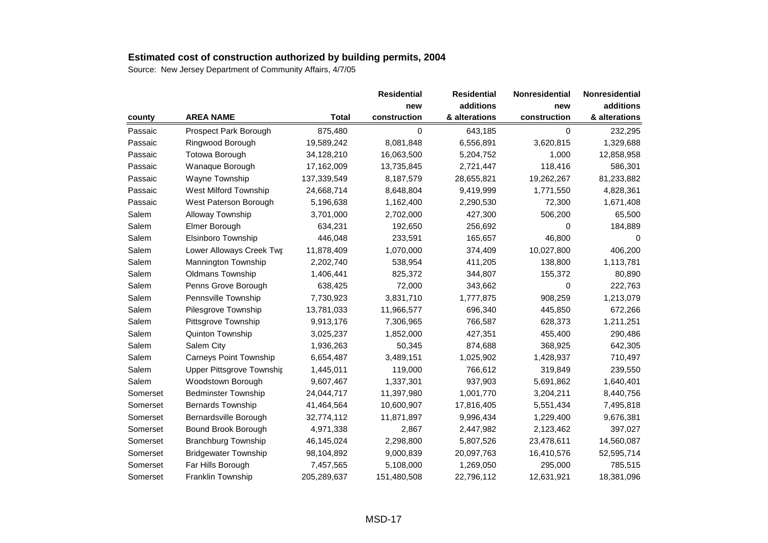|          |                                  |              | <b>Residential</b> | <b>Residential</b> | <b>Nonresidential</b> | Nonresidential |
|----------|----------------------------------|--------------|--------------------|--------------------|-----------------------|----------------|
|          |                                  |              | new                | additions          | new                   | additions      |
| county   | <b>AREA NAME</b>                 | <b>Total</b> | construction       | & alterations      | construction          | & alterations  |
| Passaic  | Prospect Park Borough            | 875,480      | 0                  | 643,185            | $\Omega$              | 232,295        |
| Passaic  | Ringwood Borough                 | 19,589,242   | 8,081,848          | 6,556,891          | 3,620,815             | 1,329,688      |
| Passaic  | <b>Totowa Borough</b>            | 34,128,210   | 16,063,500         | 5,204,752          | 1,000                 | 12,858,958     |
| Passaic  | Wanaque Borough                  | 17,162,009   | 13,735,845         | 2,721,447          | 118,416               | 586,301        |
| Passaic  | Wayne Township                   | 137,339,549  | 8,187,579          | 28,655,821         | 19,262,267            | 81,233,882     |
| Passaic  | West Milford Township            | 24,668,714   | 8,648,804          | 9,419,999          | 1,771,550             | 4,828,361      |
| Passaic  | West Paterson Borough            | 5,196,638    | 1,162,400          | 2,290,530          | 72,300                | 1,671,408      |
| Salem    | Alloway Township                 | 3,701,000    | 2,702,000          | 427,300            | 506,200               | 65,500         |
| Salem    | Elmer Borough                    | 634,231      | 192,650            | 256,692            | 0                     | 184,889        |
| Salem    | Elsinboro Township               | 446,048      | 233,591            | 165,657            | 46,800                | 0              |
| Salem    | Lower Alloways Creek Twr         | 11,878,409   | 1,070,000          | 374,409            | 10,027,800            | 406,200        |
| Salem    | Mannington Township              | 2,202,740    | 538,954            | 411,205            | 138,800               | 1,113,781      |
| Salem    | Oldmans Township                 | 1,406,441    | 825,372            | 344,807            | 155,372               | 80,890         |
| Salem    | Penns Grove Borough              | 638,425      | 72,000             | 343,662            | 0                     | 222,763        |
| Salem    | Pennsville Township              | 7,730,923    | 3,831,710          | 1,777,875          | 908,259               | 1,213,079      |
| Salem    | Pilesgrove Township              | 13,781,033   | 11,966,577         | 696,340            | 445,850               | 672,266        |
| Salem    | Pittsgrove Township              | 9,913,176    | 7,306,965          | 766,587            | 628,373               | 1,211,251      |
| Salem    | Quinton Township                 | 3,025,237    | 1,852,000          | 427,351            | 455,400               | 290,486        |
| Salem    | Salem City                       | 1,936,263    | 50,345             | 874,688            | 368,925               | 642,305        |
| Salem    | <b>Carneys Point Township</b>    | 6,654,487    | 3,489,151          | 1,025,902          | 1,428,937             | 710,497        |
| Salem    | <b>Upper Pittsgrove Township</b> | 1,445,011    | 119,000            | 766,612            | 319,849               | 239,550        |
| Salem    | Woodstown Borough                | 9,607,467    | 1,337,301          | 937,903            | 5,691,862             | 1,640,401      |
| Somerset | <b>Bedminster Township</b>       | 24,044,717   | 11,397,980         | 1,001,770          | 3,204,211             | 8,440,756      |
| Somerset | Bernards Township                | 41,464,564   | 10,600,907         | 17,816,405         | 5,551,434             | 7,495,818      |
| Somerset | Bernardsville Borough            | 32,774,112   | 11,871,897         | 9,996,434          | 1,229,400             | 9,676,381      |
| Somerset | Bound Brook Borough              | 4,971,338    | 2,867              | 2,447,982          | 2,123,462             | 397,027        |
| Somerset | <b>Branchburg Township</b>       | 46,145,024   | 2,298,800          | 5,807,526          | 23,478,611            | 14,560,087     |
| Somerset | <b>Bridgewater Township</b>      | 98,104,892   | 9,000,839          | 20,097,763         | 16,410,576            | 52,595,714     |
| Somerset | Far Hills Borough                | 7,457,565    | 5,108,000          | 1,269,050          | 295,000               | 785,515        |
| Somerset | Franklin Township                | 205,289,637  | 151,480,508        | 22,796,112         | 12,631,921            | 18,381,096     |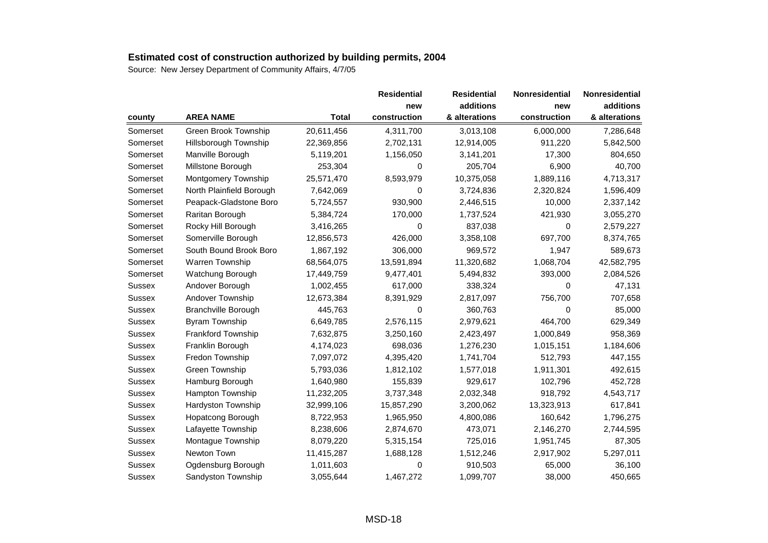|               |                            |              | <b>Residential</b> | <b>Residential</b> | Nonresidential | Nonresidential |
|---------------|----------------------------|--------------|--------------------|--------------------|----------------|----------------|
|               |                            |              | new                | additions          | new            | additions      |
| county        | <b>AREA NAME</b>           | <b>Total</b> | construction       | & alterations      | construction   | & alterations  |
| Somerset      | Green Brook Township       | 20,611,456   | 4,311,700          | 3,013,108          | 6,000,000      | 7,286,648      |
| Somerset      | Hillsborough Township      | 22,369,856   | 2,702,131          | 12,914,005         | 911,220        | 5,842,500      |
| Somerset      | Manville Borough           | 5,119,201    | 1,156,050          | 3,141,201          | 17,300         | 804,650        |
| Somerset      | Millstone Borough          | 253,304      | 0                  | 205,704            | 6,900          | 40,700         |
| Somerset      | Montgomery Township        | 25,571,470   | 8,593,979          | 10,375,058         | 1,889,116      | 4,713,317      |
| Somerset      | North Plainfield Borough   | 7,642,069    | 0                  | 3,724,836          | 2,320,824      | 1,596,409      |
| Somerset      | Peapack-Gladstone Boro     | 5,724,557    | 930,900            | 2,446,515          | 10,000         | 2,337,142      |
| Somerset      | Raritan Borough            | 5,384,724    | 170,000            | 1,737,524          | 421,930        | 3,055,270      |
| Somerset      | Rocky Hill Borough         | 3,416,265    | 0                  | 837,038            | 0              | 2,579,227      |
| Somerset      | Somerville Borough         | 12,856,573   | 426,000            | 3,358,108          | 697,700        | 8,374,765      |
| Somerset      | South Bound Brook Boro     | 1,867,192    | 306,000            | 969,572            | 1,947          | 589,673        |
| Somerset      | Warren Township            | 68,564,075   | 13,591,894         | 11,320,682         | 1,068,704      | 42,582,795     |
| Somerset      | Watchung Borough           | 17,449,759   | 9,477,401          | 5,494,832          | 393,000        | 2,084,526      |
| <b>Sussex</b> | Andover Borough            | 1,002,455    | 617,000            | 338,324            | 0              | 47,131         |
| <b>Sussex</b> | Andover Township           | 12,673,384   | 8,391,929          | 2,817,097          | 756,700        | 707,658        |
| <b>Sussex</b> | <b>Branchville Borough</b> | 445,763      | 0                  | 360,763            | 0              | 85,000         |
| Sussex        | <b>Byram Township</b>      | 6,649,785    | 2,576,115          | 2,979,621          | 464,700        | 629,349        |
| Sussex        | Frankford Township         | 7,632,875    | 3,250,160          | 2,423,497          | 1,000,849      | 958,369        |
| <b>Sussex</b> | Franklin Borough           | 4,174,023    | 698,036            | 1,276,230          | 1,015,151      | 1,184,606      |
| Sussex        | Fredon Township            | 7,097,072    | 4,395,420          | 1,741,704          | 512,793        | 447,155        |
| <b>Sussex</b> | Green Township             | 5,793,036    | 1,812,102          | 1,577,018          | 1,911,301      | 492,615        |
| <b>Sussex</b> | Hamburg Borough            | 1,640,980    | 155,839            | 929,617            | 102,796        | 452,728        |
| <b>Sussex</b> | Hampton Township           | 11,232,205   | 3,737,348          | 2,032,348          | 918,792        | 4,543,717      |
| Sussex        | Hardyston Township         | 32,999,106   | 15,857,290         | 3,200,062          | 13,323,913     | 617,841        |
| <b>Sussex</b> | Hopatcong Borough          | 8,722,953    | 1,965,950          | 4,800,086          | 160,642        | 1,796,275      |
| <b>Sussex</b> | Lafayette Township         | 8,238,606    | 2,874,670          | 473,071            | 2,146,270      | 2,744,595      |
| <b>Sussex</b> | Montague Township          | 8,079,220    | 5,315,154          | 725,016            | 1,951,745      | 87,305         |
| <b>Sussex</b> | Newton Town                | 11,415,287   | 1,688,128          | 1,512,246          | 2,917,902      | 5,297,011      |
| <b>Sussex</b> | Ogdensburg Borough         | 1,011,603    | 0                  | 910,503            | 65,000         | 36,100         |
| Sussex        | Sandyston Township         | 3,055,644    | 1,467,272          | 1,099,707          | 38,000         | 450,665        |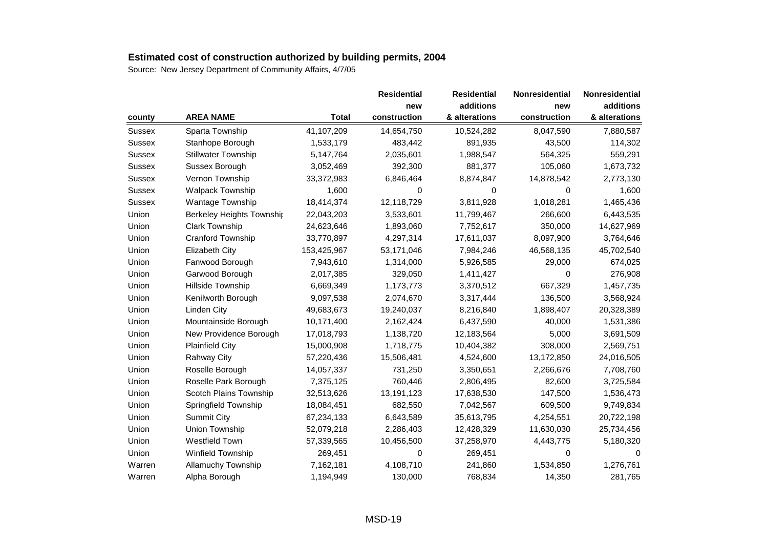|               |                            |              | <b>Residential</b> | <b>Residential</b> | Nonresidential | Nonresidential |
|---------------|----------------------------|--------------|--------------------|--------------------|----------------|----------------|
|               |                            |              | new                | additions          | new            | additions      |
| county        | <b>AREA NAME</b>           | <b>Total</b> | construction       | & alterations      | construction   | & alterations  |
| <b>Sussex</b> | Sparta Township            | 41,107,209   | 14,654,750         | 10,524,282         | 8,047,590      | 7,880,587      |
| Sussex        | Stanhope Borough           | 1,533,179    | 483,442            | 891,935            | 43,500         | 114,302        |
| Sussex        | <b>Stillwater Township</b> | 5,147,764    | 2,035,601          | 1,988,547          | 564,325        | 559,291        |
| <b>Sussex</b> | Sussex Borough             | 3,052,469    | 392,300            | 881,377            | 105,060        | 1,673,732      |
| <b>Sussex</b> | Vernon Township            | 33,372,983   | 6,846,464          | 8,874,847          | 14,878,542     | 2,773,130      |
| <b>Sussex</b> | <b>Walpack Township</b>    | 1,600        | 0                  | 0                  | $\Omega$       | 1,600          |
| <b>Sussex</b> | Wantage Township           | 18,414,374   | 12,118,729         | 3,811,928          | 1,018,281      | 1,465,436      |
| Union         | Berkeley Heights Township  | 22,043,203   | 3,533,601          | 11,799,467         | 266,600        | 6,443,535      |
| Union         | <b>Clark Township</b>      | 24,623,646   | 1,893,060          | 7,752,617          | 350,000        | 14,627,969     |
| Union         | Cranford Township          | 33,770,897   | 4,297,314          | 17,611,037         | 8,097,900      | 3,764,646      |
| Union         | <b>Elizabeth City</b>      | 153,425,967  | 53,171,046         | 7,984,246          | 46,568,135     | 45,702,540     |
| Union         | Fanwood Borough            | 7,943,610    | 1,314,000          | 5,926,585          | 29,000         | 674,025        |
| Union         | Garwood Borough            | 2,017,385    | 329,050            | 1,411,427          | 0              | 276,908        |
| Union         | Hillside Township          | 6,669,349    | 1,173,773          | 3,370,512          | 667,329        | 1,457,735      |
| Union         | Kenilworth Borough         | 9,097,538    | 2,074,670          | 3,317,444          | 136,500        | 3,568,924      |
| Union         | <b>Linden City</b>         | 49,683,673   | 19,240,037         | 8,216,840          | 1,898,407      | 20,328,389     |
| Union         | Mountainside Borough       | 10,171,400   | 2,162,424          | 6,437,590          | 40,000         | 1,531,386      |
| Union         | New Providence Borough     | 17,018,793   | 1,138,720          | 12,183,564         | 5,000          | 3,691,509      |
| Union         | <b>Plainfield City</b>     | 15,000,908   | 1,718,775          | 10,404,382         | 308,000        | 2,569,751      |
| Union         | <b>Rahway City</b>         | 57,220,436   | 15,506,481         | 4,524,600          | 13,172,850     | 24,016,505     |
| Union         | Roselle Borough            | 14,057,337   | 731,250            | 3,350,651          | 2,266,676      | 7,708,760      |
| Union         | Roselle Park Borough       | 7,375,125    | 760,446            | 2,806,495          | 82,600         | 3,725,584      |
| Union         | Scotch Plains Township     | 32,513,626   | 13,191,123         | 17,638,530         | 147,500        | 1,536,473      |
| Union         | Springfield Township       | 18,084,451   | 682,550            | 7,042,567          | 609,500        | 9,749,834      |
| Union         | <b>Summit City</b>         | 67,234,133   | 6,643,589          | 35,613,795         | 4,254,551      | 20,722,198     |
| Union         | Union Township             | 52,079,218   | 2,286,403          | 12,428,329         | 11,630,030     | 25,734,456     |
| Union         | Westfield Town             | 57,339,565   | 10,456,500         | 37,258,970         | 4,443,775      | 5,180,320      |
| Union         | <b>Winfield Township</b>   | 269,451      | 0                  | 269,451            | 0              | $\Omega$       |
| Warren        | Allamuchy Township         | 7,162,181    | 4,108,710          | 241,860            | 1,534,850      | 1,276,761      |
| Warren        | Alpha Borough              | 1,194,949    | 130,000            | 768,834            | 14,350         | 281,765        |